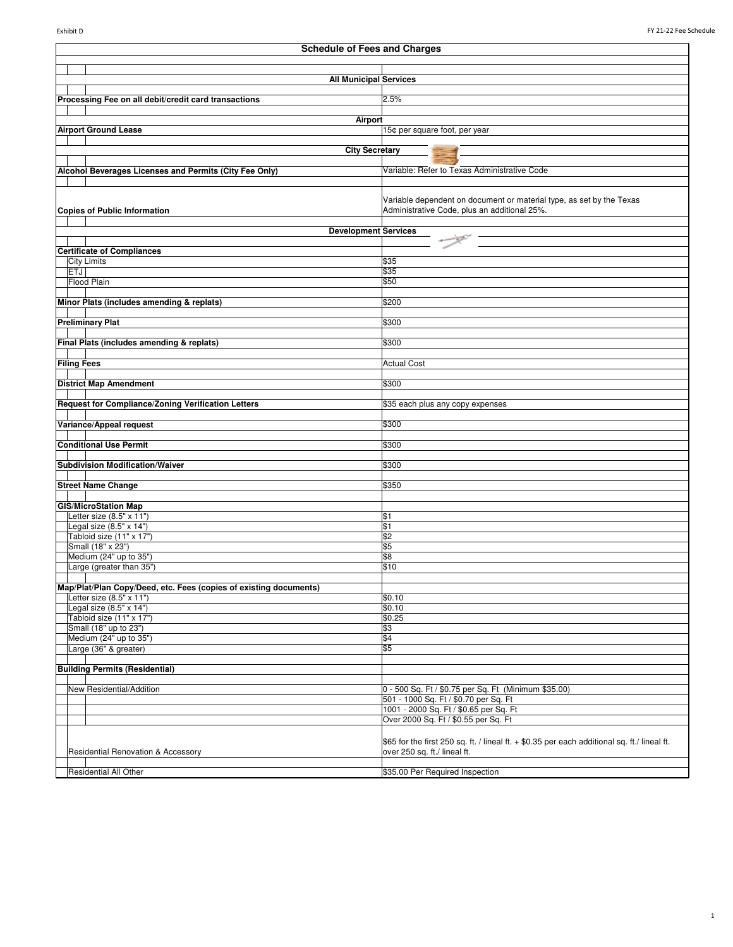| <b>Schedule of Fees and Charges</b>                               |                                                                                               |  |
|-------------------------------------------------------------------|-----------------------------------------------------------------------------------------------|--|
|                                                                   |                                                                                               |  |
| <b>All Municipal Services</b>                                     |                                                                                               |  |
|                                                                   |                                                                                               |  |
| Processing Fee on all debit/credit card transactions              | 2.5%                                                                                          |  |
| <b>Airport</b>                                                    |                                                                                               |  |
| <b>Airport Ground Lease</b>                                       | 15¢ per square foot, per year                                                                 |  |
|                                                                   |                                                                                               |  |
| <b>City Secretary</b>                                             |                                                                                               |  |
| Alcohol Beverages Licenses and Permits (City Fee Only)            | Variable: Refer to Texas Administrative Code                                                  |  |
|                                                                   |                                                                                               |  |
|                                                                   |                                                                                               |  |
|                                                                   | Variable dependent on document or material type, as set by the Texas                          |  |
| <b>Copies of Public Information</b>                               | Administrative Code, plus an additional 25%.                                                  |  |
| <b>Development Services</b>                                       |                                                                                               |  |
|                                                                   |                                                                                               |  |
| <b>Certificate of Compliances</b>                                 |                                                                                               |  |
| <b>City Limits</b><br><b>ETJ</b>                                  | \$35<br>\$35                                                                                  |  |
| Flood Plain                                                       | \$50                                                                                          |  |
|                                                                   |                                                                                               |  |
| Minor Plats (includes amending & replats)                         | \$200                                                                                         |  |
|                                                                   |                                                                                               |  |
| <b>Preliminary Plat</b>                                           | \$300                                                                                         |  |
| Final Plats (includes amending & replats)                         | \$300                                                                                         |  |
|                                                                   |                                                                                               |  |
| <b>Filing Fees</b>                                                | <b>Actual Cost</b>                                                                            |  |
|                                                                   |                                                                                               |  |
| <b>District Map Amendment</b>                                     | \$300                                                                                         |  |
| Request for Compliance/Zoning Verification Letters                | \$35 each plus any copy expenses                                                              |  |
|                                                                   |                                                                                               |  |
| Variance/Appeal request                                           | \$300                                                                                         |  |
|                                                                   |                                                                                               |  |
| <b>Conditional Use Permit</b>                                     | \$300                                                                                         |  |
| <b>Subdivision Modification/Waiver</b>                            | \$300                                                                                         |  |
|                                                                   |                                                                                               |  |
| <b>Street Name Change</b>                                         | \$350                                                                                         |  |
| <b>GIS/MicroStation Map</b>                                       |                                                                                               |  |
| Letter size (8.5" x 11")                                          | \$1                                                                                           |  |
| Legal size (8.5" x 14")                                           | \$1                                                                                           |  |
| Tabloid size (11" x 17")                                          | \$2                                                                                           |  |
| Small (18" x 23")                                                 | \$5                                                                                           |  |
| Medium (24" up to 35")<br>Large (greater than 35")                | \$8                                                                                           |  |
|                                                                   | \$10                                                                                          |  |
| Map/Plat/Plan Copy/Deed, etc. Fees (copies of existing documents) |                                                                                               |  |
| Letter size (8.5" x 11")                                          | \$0.10                                                                                        |  |
| Legal size (8.5" x 14")                                           | \$0.10                                                                                        |  |
| Tabloid size (11" x 17")                                          | \$0.25                                                                                        |  |
| Small (18" up to 23")<br>Medium (24" up to 35")                   | \$3<br>\$4                                                                                    |  |
| Large (36" & greater)                                             | \$5                                                                                           |  |
|                                                                   |                                                                                               |  |
| <b>Building Permits (Residential)</b>                             |                                                                                               |  |
|                                                                   |                                                                                               |  |
| New Residential/Addition                                          | 0 - 500 Sq. Ft / \$0.75 per Sq. Ft (Minimum \$35.00)<br>501 - 1000 Sq. Ft / \$0.70 per Sq. Ft |  |
|                                                                   | 1001 - 2000 Sq. Ft / \$0.65 per Sq. Ft                                                        |  |
|                                                                   | Over 2000 Sq. Ft / \$0.55 per Sq. Ft                                                          |  |
|                                                                   |                                                                                               |  |
|                                                                   | \$65 for the first 250 sq. ft. / lineal ft. + \$0.35 per each additional sq. ft./ lineal ft.  |  |
| <b>Residential Renovation &amp; Accessory</b>                     | over 250 sq. ft./ lineal ft.                                                                  |  |
|                                                                   |                                                                                               |  |
| Residential All Other                                             | \$35.00 Per Required Inspection                                                               |  |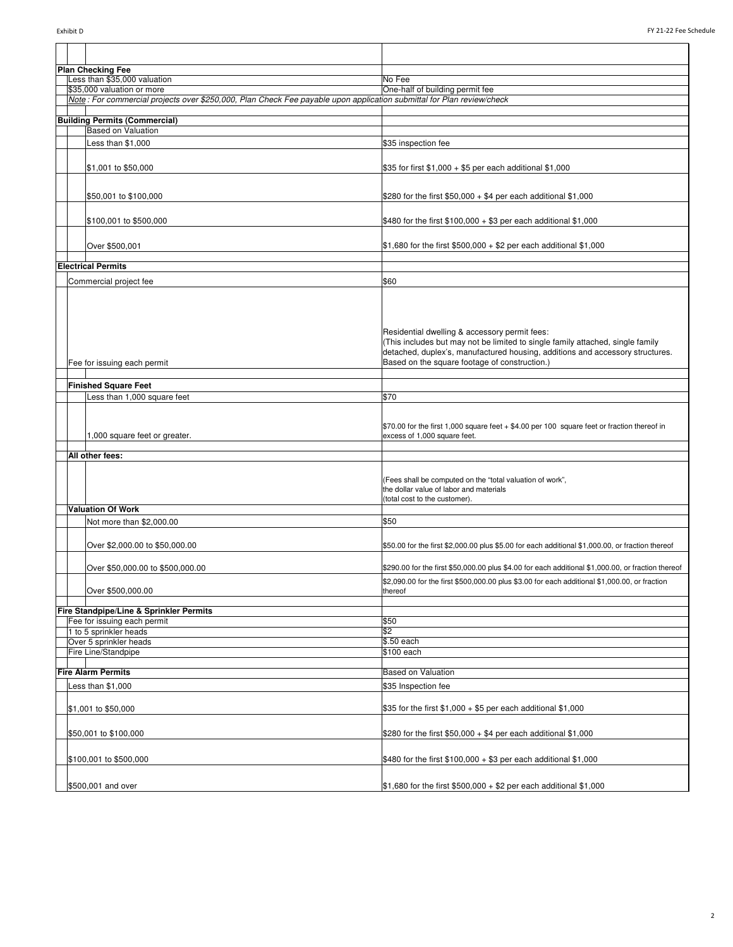|                   | <b>Plan Checking Fee</b>                                                                                              |                                                                                                                                                                                                                                                                   |
|-------------------|-----------------------------------------------------------------------------------------------------------------------|-------------------------------------------------------------------------------------------------------------------------------------------------------------------------------------------------------------------------------------------------------------------|
|                   | Less than \$35,000 valuation                                                                                          | No Fee                                                                                                                                                                                                                                                            |
|                   | \$35,000 valuation or more                                                                                            | One-half of building permit fee                                                                                                                                                                                                                                   |
|                   | Note: For commercial projects over \$250,000, Plan Check Fee payable upon application submittal for Plan review/check |                                                                                                                                                                                                                                                                   |
|                   | <b>Building Permits (Commercial)</b>                                                                                  |                                                                                                                                                                                                                                                                   |
|                   | <b>Based on Valuation</b>                                                                                             |                                                                                                                                                                                                                                                                   |
|                   | Less than \$1,000                                                                                                     | \$35 inspection fee                                                                                                                                                                                                                                               |
|                   | \$1,001 to \$50,000                                                                                                   | \$35 for first \$1,000 + \$5 per each additional \$1,000                                                                                                                                                                                                          |
|                   | \$50,001 to \$100,000                                                                                                 | \$280 for the first \$50,000 $+$ \$4 per each additional \$1,000                                                                                                                                                                                                  |
|                   | \$100,001 to \$500,000                                                                                                | \$480 for the first \$100,000 + \$3 per each additional \$1,000                                                                                                                                                                                                   |
|                   | Over \$500,001                                                                                                        | \$1,680 for the first \$500,000 + \$2 per each additional \$1,000                                                                                                                                                                                                 |
|                   | <b>Electrical Permits</b>                                                                                             |                                                                                                                                                                                                                                                                   |
|                   |                                                                                                                       |                                                                                                                                                                                                                                                                   |
|                   | Commercial project fee                                                                                                | \$60                                                                                                                                                                                                                                                              |
|                   | Fee for issuing each permit                                                                                           | Residential dwelling & accessory permit fees:<br>(This includes but may not be limited to single family attached, single family<br>detached, duplex's, manufactured housing, additions and accessory structures.<br>Based on the square footage of construction.) |
|                   | <b>Finished Square Feet</b>                                                                                           |                                                                                                                                                                                                                                                                   |
|                   | Less than 1,000 square feet                                                                                           | \$70                                                                                                                                                                                                                                                              |
|                   |                                                                                                                       |                                                                                                                                                                                                                                                                   |
|                   | 1,000 square feet or greater.                                                                                         | \$70.00 for the first 1,000 square feet + \$4.00 per 100 square feet or fraction thereof in<br>excess of 1,000 square feet.                                                                                                                                       |
|                   | All other fees:                                                                                                       |                                                                                                                                                                                                                                                                   |
|                   |                                                                                                                       | (Fees shall be computed on the "total valuation of work",<br>the dollar value of labor and materials<br>(total cost to the customer).                                                                                                                             |
|                   | <b>Valuation Of Work</b>                                                                                              |                                                                                                                                                                                                                                                                   |
|                   | Not more than \$2,000.00                                                                                              | \$50                                                                                                                                                                                                                                                              |
|                   | Over \$2,000.00 to \$50,000.00                                                                                        | \$50.00 for the first \$2,000.00 plus \$5.00 for each additional \$1,000.00, or fraction thereof                                                                                                                                                                  |
|                   | Over \$50,000.00 to \$500,000.00                                                                                      | \$290.00 for the first \$50,000.00 plus \$4.00 for each additional \$1,000.00, or fraction thereof                                                                                                                                                                |
|                   | Over \$500,000.00                                                                                                     | \$2,090.00 for the first \$500,000.00 plus \$3.00 for each additional \$1,000.00, or fraction<br>thereof                                                                                                                                                          |
|                   | Fire Standpipe/Line & Sprinkler Permits                                                                               |                                                                                                                                                                                                                                                                   |
|                   | Fee for issuing each permit                                                                                           | \$50                                                                                                                                                                                                                                                              |
|                   | 1 to 5 sprinkler heads                                                                                                | \$2                                                                                                                                                                                                                                                               |
|                   | Over 5 sprinkler heads                                                                                                | \$.50 each                                                                                                                                                                                                                                                        |
|                   | Fire Line/Standpipe                                                                                                   | \$100 each                                                                                                                                                                                                                                                        |
|                   | <b>Fire Alarm Permits</b>                                                                                             | <b>Based on Valuation</b>                                                                                                                                                                                                                                         |
| Less than \$1,000 |                                                                                                                       | \$35 Inspection fee                                                                                                                                                                                                                                               |
|                   | \$1,001 to \$50,000                                                                                                   | \$35 for the first $$1,000 + $5$ per each additional $$1,000$                                                                                                                                                                                                     |
|                   | \$50,001 to \$100,000                                                                                                 | \$280 for the first \$50,000 $+$ \$4 per each additional \$1,000                                                                                                                                                                                                  |
|                   | \$100,001 to \$500,000                                                                                                | \$480 for the first \$100,000 + \$3 per each additional \$1,000                                                                                                                                                                                                   |
|                   | \$500,001 and over                                                                                                    | $$1,680$ for the first \$500,000 + \$2 per each additional \$1,000                                                                                                                                                                                                |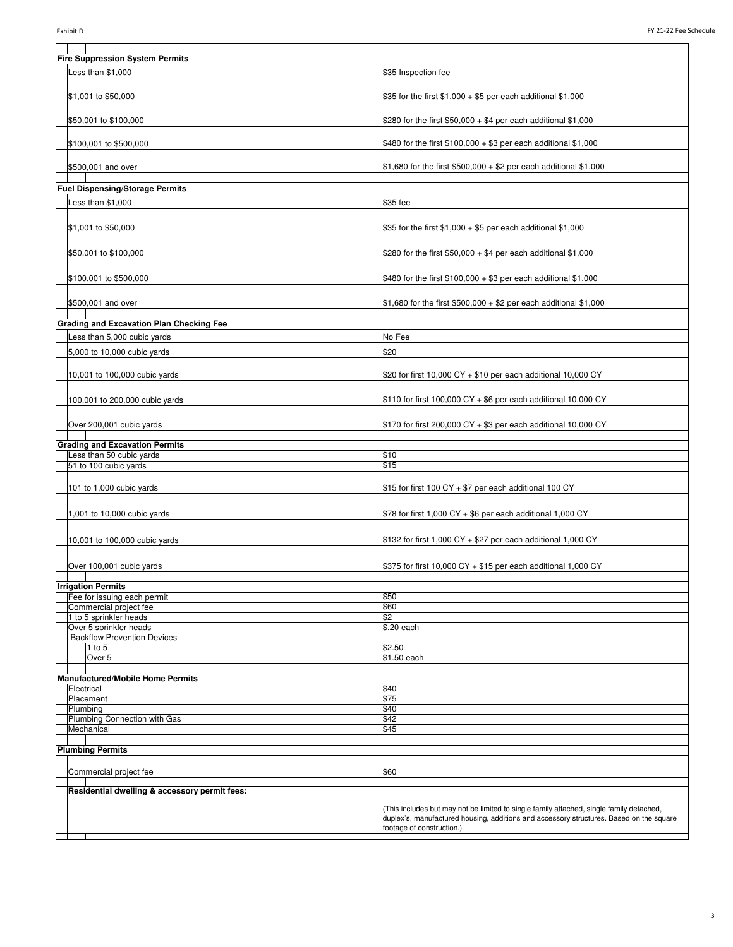| <b>Fire Suppression System Permits</b>                                  |                                                                                                                                                                                                                  |
|-------------------------------------------------------------------------|------------------------------------------------------------------------------------------------------------------------------------------------------------------------------------------------------------------|
| Less than \$1,000                                                       | \$35 Inspection fee                                                                                                                                                                                              |
| \$1,001 to \$50,000                                                     | \$35 for the first \$1,000 + \$5 per each additional \$1,000                                                                                                                                                     |
| \$50,001 to \$100,000                                                   | \$280 for the first \$50,000 $+$ \$4 per each additional \$1,000                                                                                                                                                 |
| \$100,001 to \$500,000                                                  | \$480 for the first \$100,000 + \$3 per each additional \$1,000                                                                                                                                                  |
| \$500,001 and over                                                      | \$1,680 for the first \$500,000 + \$2 per each additional \$1,000                                                                                                                                                |
| <b>Fuel Dispensing/Storage Permits</b>                                  |                                                                                                                                                                                                                  |
|                                                                         |                                                                                                                                                                                                                  |
| Less than \$1,000                                                       | \$35 fee                                                                                                                                                                                                         |
| \$1,001 to \$50,000                                                     | $$35$ for the first $$1,000 + $5$ per each additional $$1,000$                                                                                                                                                   |
| \$50,001 to \$100,000                                                   | \$280 for the first \$50,000 $+$ \$4 per each additional \$1,000                                                                                                                                                 |
| \$100,001 to \$500,000                                                  | \$480 for the first \$100,000 + \$3 per each additional \$1,000                                                                                                                                                  |
| \$500,001 and over                                                      | $$1,680$ for the first $$500,000 + $2$ per each additional \$1,000                                                                                                                                               |
| <b>Grading and Excavation Plan Checking Fee</b>                         |                                                                                                                                                                                                                  |
| Less than 5,000 cubic yards                                             | No Fee                                                                                                                                                                                                           |
| 5,000 to 10,000 cubic yards                                             | \$20                                                                                                                                                                                                             |
|                                                                         |                                                                                                                                                                                                                  |
| 10,001 to 100,000 cubic yards                                           | \$20 for first 10,000 CY + \$10 per each additional 10,000 CY                                                                                                                                                    |
| 100,001 to 200,000 cubic yards                                          | \$110 for first 100,000 CY + \$6 per each additional 10,000 CY                                                                                                                                                   |
| Over 200,001 cubic yards                                                | \$170 for first 200,000 CY + \$3 per each additional 10,000 CY                                                                                                                                                   |
| <b>Grading and Excavation Permits</b>                                   |                                                                                                                                                                                                                  |
| Less than 50 cubic yards                                                | \$10                                                                                                                                                                                                             |
| 51 to 100 cubic yards                                                   | \$15                                                                                                                                                                                                             |
| 101 to 1,000 cubic yards                                                | \$15 for first 100 CY + \$7 per each additional 100 CY                                                                                                                                                           |
| 1,001 to 10,000 cubic yards                                             | \$78 for first 1,000 CY + \$6 per each additional 1,000 CY                                                                                                                                                       |
| 10,001 to 100,000 cubic yards                                           | \$132 for first 1,000 CY + \$27 per each additional 1,000 CY                                                                                                                                                     |
| Over 100,001 cubic yards                                                | \$375 for first 10,000 CY + \$15 per each additional 1,000 CY                                                                                                                                                    |
| <b>Irrigation Permits</b>                                               |                                                                                                                                                                                                                  |
| Fee for issuing each permit                                             | \$50                                                                                                                                                                                                             |
| Commercial project fee                                                  | \$60                                                                                                                                                                                                             |
| 1 to 5 sprinkler heads                                                  | \$2                                                                                                                                                                                                              |
| Over 5 sprinkler heads                                                  | \$.20 each                                                                                                                                                                                                       |
| <b>Backflow Prevention Devices</b><br>$1$ to $5$                        | \$2.50                                                                                                                                                                                                           |
| Over 5                                                                  | \$1.50 each                                                                                                                                                                                                      |
| <b>Manufactured/Mobile Home Permits</b>                                 |                                                                                                                                                                                                                  |
| Electrical                                                              | \$40                                                                                                                                                                                                             |
| Placement<br>Plumbing                                                   | \$75<br>\$40                                                                                                                                                                                                     |
| Plumbing Connection with Gas                                            | \$42                                                                                                                                                                                                             |
| Mechanical                                                              | \$45                                                                                                                                                                                                             |
|                                                                         |                                                                                                                                                                                                                  |
| <b>Plumbing Permits</b>                                                 |                                                                                                                                                                                                                  |
| Commercial project fee<br>Residential dwelling & accessory permit fees: | \$60                                                                                                                                                                                                             |
|                                                                         | (This includes but may not be limited to single family attached, single family detached,<br>duplex's, manufactured housing, additions and accessory structures. Based on the square<br>footage of construction.) |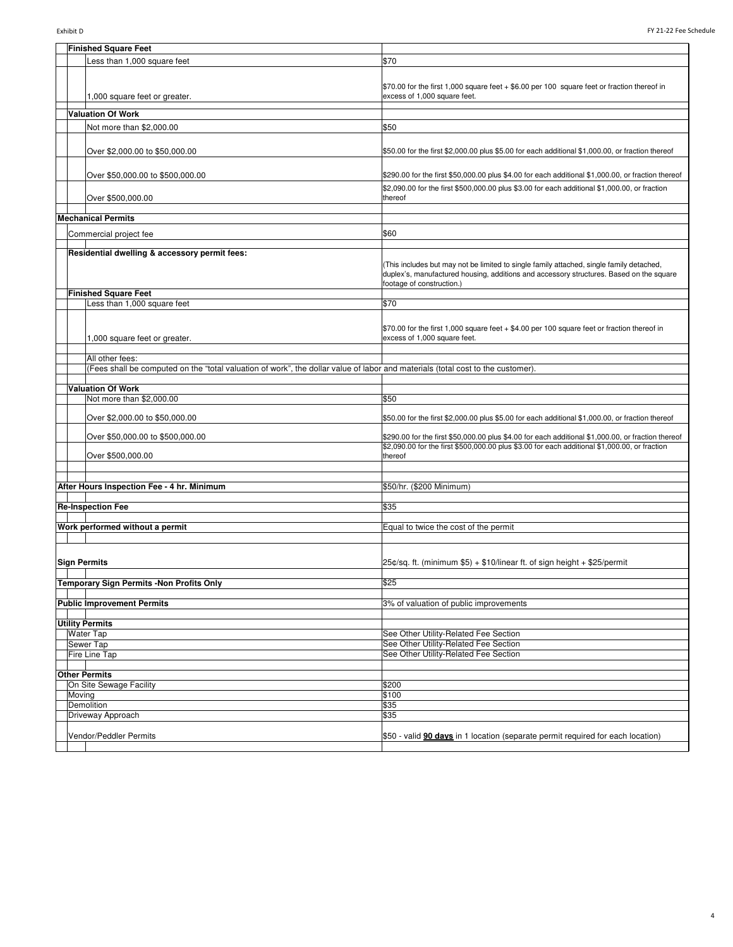| FY 21-22 Fee Schedule<br>Exhibit D |                                                                                                                                 |                                                                                                    |
|------------------------------------|---------------------------------------------------------------------------------------------------------------------------------|----------------------------------------------------------------------------------------------------|
|                                    | <b>Finished Square Feet</b>                                                                                                     |                                                                                                    |
|                                    | Less than 1,000 square feet                                                                                                     | \$70                                                                                               |
|                                    |                                                                                                                                 |                                                                                                    |
|                                    |                                                                                                                                 | \$70.00 for the first 1,000 square feet + \$6.00 per 100 square feet or fraction thereof in        |
|                                    | 1,000 square feet or greater.                                                                                                   | excess of 1,000 square feet.                                                                       |
|                                    | <b>Valuation Of Work</b>                                                                                                        |                                                                                                    |
|                                    | Not more than \$2,000.00                                                                                                        | \$50                                                                                               |
|                                    |                                                                                                                                 |                                                                                                    |
|                                    | Over \$2,000.00 to \$50,000.00                                                                                                  | \$50.00 for the first \$2,000.00 plus \$5.00 for each additional \$1,000.00, or fraction thereof   |
|                                    |                                                                                                                                 | \$290.00 for the first \$50,000.00 plus \$4.00 for each additional \$1,000.00, or fraction thereof |
|                                    | Over \$50,000.00 to \$500,000.00                                                                                                | \$2,090.00 for the first \$500,000.00 plus \$3.00 for each additional \$1,000.00, or fraction      |
|                                    | Over \$500,000.00                                                                                                               | thereof                                                                                            |
|                                    |                                                                                                                                 |                                                                                                    |
|                                    | <b>Mechanical Permits</b>                                                                                                       |                                                                                                    |
|                                    | Commercial project fee                                                                                                          | \$60                                                                                               |
|                                    | Residential dwelling & accessory permit fees:                                                                                   |                                                                                                    |
|                                    |                                                                                                                                 | (This includes but may not be limited to single family attached, single family detached,           |
|                                    |                                                                                                                                 | duplex's, manufactured housing, additions and accessory structures. Based on the square            |
|                                    | <b>Finished Square Feet</b>                                                                                                     | footage of construction.)                                                                          |
|                                    | Less than 1,000 square feet                                                                                                     | \$70                                                                                               |
|                                    |                                                                                                                                 |                                                                                                    |
|                                    |                                                                                                                                 | $$70.00$ for the first 1,000 square feet $+$ \$4.00 per 100 square feet or fraction thereof in     |
|                                    | 1,000 square feet or greater.                                                                                                   | excess of 1,000 square feet.                                                                       |
|                                    | All other fees:                                                                                                                 |                                                                                                    |
|                                    | (Fees shall be computed on the "total valuation of work", the dollar value of labor and materials (total cost to the customer). |                                                                                                    |
|                                    |                                                                                                                                 |                                                                                                    |
|                                    | <b>Valuation Of Work</b><br>Not more than \$2,000.00                                                                            | \$50                                                                                               |
|                                    |                                                                                                                                 |                                                                                                    |
|                                    | Over \$2,000.00 to \$50,000.00                                                                                                  | \$50.00 for the first \$2,000.00 plus \$5.00 for each additional \$1,000.00, or fraction thereof   |
|                                    | Over \$50,000.00 to \$500,000.00                                                                                                | \$290.00 for the first \$50,000.00 plus \$4.00 for each additional \$1,000.00, or fraction thereof |
|                                    |                                                                                                                                 | \$2,090.00 for the first \$500,000.00 plus \$3.00 for each additional \$1,000.00, or fraction      |
|                                    | Over \$500,000.00                                                                                                               | thereof                                                                                            |
|                                    |                                                                                                                                 |                                                                                                    |
|                                    | After Hours Inspection Fee - 4 hr. Minimum                                                                                      | \$50/hr. (\$200 Minimum)                                                                           |
|                                    | <b>Re-Inspection Fee</b>                                                                                                        | \$35                                                                                               |
|                                    |                                                                                                                                 |                                                                                                    |
|                                    | Work performed without a permit                                                                                                 | Equal to twice the cost of the permit                                                              |
|                                    |                                                                                                                                 |                                                                                                    |
|                                    |                                                                                                                                 |                                                                                                    |
| <b>Sign Permits</b>                |                                                                                                                                 | $25¢$ /sq. ft. (minimum \$5) + \$10/linear ft. of sign height + \$25/permit                        |
|                                    | <b>Temporary Sign Permits -Non Profits Only</b>                                                                                 | \$25                                                                                               |
|                                    |                                                                                                                                 |                                                                                                    |
|                                    | <b>Public Improvement Permits</b>                                                                                               | 3% of valuation of public improvements                                                             |
|                                    | <b>Utility Permits</b>                                                                                                          |                                                                                                    |
|                                    | Water Tap                                                                                                                       | See Other Utility-Related Fee Section                                                              |
|                                    | Sewer Tap                                                                                                                       | See Other Utility-Related Fee Section                                                              |
|                                    | Fire Line Tap                                                                                                                   | See Other Utility-Related Fee Section                                                              |
|                                    | <b>Other Permits</b>                                                                                                            |                                                                                                    |
|                                    | On Site Sewage Facility                                                                                                         | \$200                                                                                              |
| Moving                             | Demolition                                                                                                                      | \$100<br>\$35                                                                                      |
|                                    | Driveway Approach                                                                                                               | \$35                                                                                               |
|                                    |                                                                                                                                 |                                                                                                    |
|                                    | Vendor/Peddler Permits                                                                                                          | \$50 - valid 90 days in 1 location (separate permit required for each location)                    |
|                                    |                                                                                                                                 |                                                                                                    |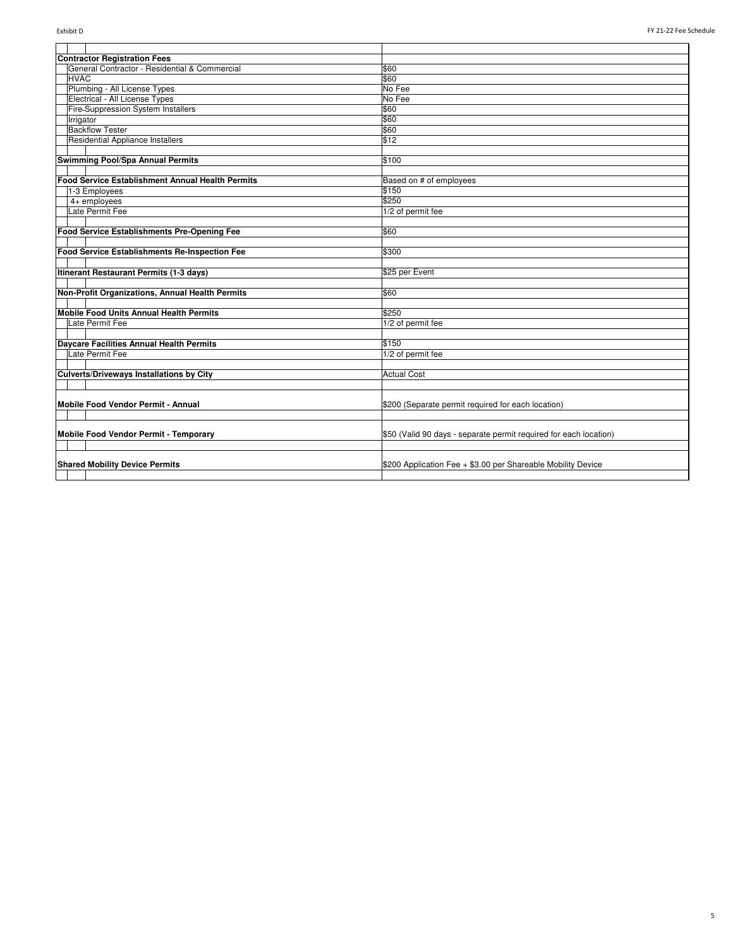| <b>Contractor Registration Fees</b>                     |                                                                   |
|---------------------------------------------------------|-------------------------------------------------------------------|
| General Contractor - Residential & Commercial           | \$60                                                              |
| <b>HVAC</b>                                             | \$60                                                              |
| Plumbing - All License Types                            | No Fee                                                            |
| Electrical - All License Types                          | No Fee                                                            |
| Fire-Suppression System Installers                      | \$60                                                              |
| Irrigator                                               | \$60                                                              |
| <b>Backflow Tester</b>                                  | \$60                                                              |
| Residential Appliance Installers                        | \$12                                                              |
|                                                         |                                                                   |
| Swimming Pool/Spa Annual Permits                        | \$100                                                             |
|                                                         |                                                                   |
| <b>Food Service Establishment Annual Health Permits</b> | Based on # of employees                                           |
| 1-3 Employees                                           | \$150                                                             |
| $4+$ employees                                          | \$250                                                             |
| Late Permit Fee                                         | 1/2 of permit fee                                                 |
|                                                         |                                                                   |
| Food Service Establishments Pre-Opening Fee             | \$60                                                              |
|                                                         |                                                                   |
| Food Service Establishments Re-Inspection Fee           | \$300                                                             |
|                                                         |                                                                   |
| Itinerant Restaurant Permits (1-3 days)                 | \$25 per Event                                                    |
|                                                         |                                                                   |
| Non-Profit Organizations, Annual Health Permits         | \$60                                                              |
|                                                         |                                                                   |
| Mobile Food Units Annual Health Permits                 | \$250                                                             |
| Late Permit Fee                                         | 1/2 of permit fee                                                 |
|                                                         |                                                                   |
| Daycare Facilities Annual Health Permits                | \$150                                                             |
| Late Permit Fee                                         | 1/2 of permit fee                                                 |
|                                                         |                                                                   |
| <b>Culverts/Driveways Installations by City</b>         | <b>Actual Cost</b>                                                |
|                                                         |                                                                   |
|                                                         |                                                                   |
| Mobile Food Vendor Permit - Annual                      | \$200 (Separate permit required for each location)                |
|                                                         |                                                                   |
|                                                         |                                                                   |
| Mobile Food Vendor Permit - Temporary                   | \$50 (Valid 90 days - separate permit required for each location) |
|                                                         |                                                                   |
|                                                         |                                                                   |
| <b>Shared Mobility Device Permits</b>                   | \$200 Application Fee + \$3.00 per Shareable Mobility Device      |
|                                                         |                                                                   |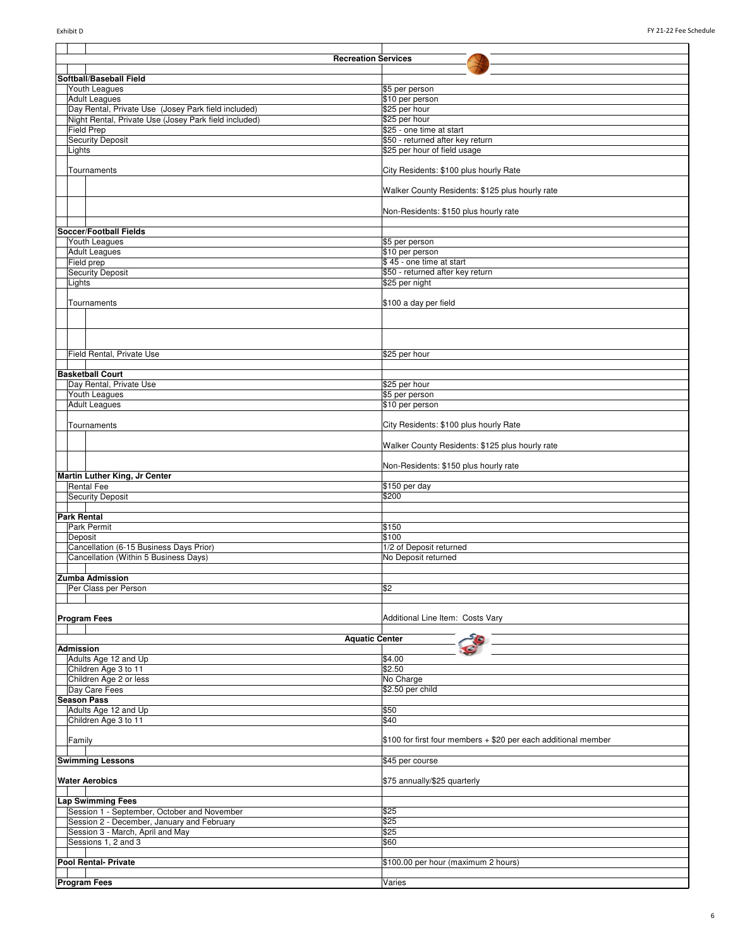|                  | <b>Recreation Services</b>                                                     |                                                                |  |
|------------------|--------------------------------------------------------------------------------|----------------------------------------------------------------|--|
|                  | Softball/Baseball Field                                                        |                                                                |  |
|                  | Youth Leagues                                                                  | \$5 per person                                                 |  |
|                  | <b>Adult Leagues</b>                                                           | \$10 per person                                                |  |
|                  | Day Rental, Private Use (Josey Park field included)                            | \$25 per hour                                                  |  |
|                  | Night Rental, Private Use (Josey Park field included)                          | \$25 per hour                                                  |  |
|                  | <b>Field Prep</b>                                                              | \$25 - one time at start                                       |  |
|                  | <b>Security Deposit</b>                                                        | \$50 - returned after key return                               |  |
|                  | Lights                                                                         | \$25 per hour of field usage                                   |  |
|                  |                                                                                |                                                                |  |
|                  | Tournaments                                                                    | City Residents: \$100 plus hourly Rate                         |  |
|                  |                                                                                | Walker County Residents: \$125 plus hourly rate                |  |
|                  |                                                                                |                                                                |  |
|                  |                                                                                | Non-Residents: \$150 plus hourly rate                          |  |
|                  |                                                                                |                                                                |  |
|                  | Soccer/Football Fields                                                         |                                                                |  |
|                  | Youth Leagues                                                                  | \$5 per person                                                 |  |
|                  | <b>Adult Leagues</b>                                                           | \$10 per person                                                |  |
|                  | Field prep                                                                     | \$45 - one time at start                                       |  |
|                  | <b>Security Deposit</b>                                                        | \$50 - returned after key return                               |  |
|                  | Lights                                                                         | \$25 per night                                                 |  |
|                  |                                                                                |                                                                |  |
|                  | Tournaments                                                                    | \$100 a day per field                                          |  |
|                  |                                                                                |                                                                |  |
|                  |                                                                                |                                                                |  |
|                  |                                                                                |                                                                |  |
|                  | Field Rental, Private Use                                                      | \$25 per hour                                                  |  |
|                  |                                                                                |                                                                |  |
|                  | <b>Basketball Court</b>                                                        |                                                                |  |
|                  | Day Rental, Private Use                                                        | \$25 per hour                                                  |  |
|                  | Youth Leagues                                                                  | \$5 per person                                                 |  |
|                  | <b>Adult Leagues</b>                                                           | \$10 per person                                                |  |
|                  |                                                                                |                                                                |  |
|                  | Tournaments                                                                    | City Residents: \$100 plus hourly Rate                         |  |
|                  |                                                                                |                                                                |  |
|                  |                                                                                | Walker County Residents: \$125 plus hourly rate                |  |
|                  |                                                                                | Non-Residents: \$150 plus hourly rate                          |  |
|                  | Martin Luther King, Jr Center                                                  |                                                                |  |
|                  | <b>Rental Fee</b>                                                              | \$150 per day                                                  |  |
|                  | <b>Security Deposit</b>                                                        | \$200                                                          |  |
|                  |                                                                                |                                                                |  |
|                  | <b>Park Rental</b>                                                             |                                                                |  |
|                  | Park Permit                                                                    | \$150                                                          |  |
|                  | Deposit                                                                        | \$100                                                          |  |
|                  | Cancellation (6-15 Business Days Prior)                                        | 1/2 of Deposit returned                                        |  |
|                  | Cancellation (Within 5 Business Days)                                          | No Deposit returned                                            |  |
|                  |                                                                                |                                                                |  |
|                  | <b>Zumba Admission</b><br>Per Class per Person                                 | \$2                                                            |  |
|                  |                                                                                |                                                                |  |
|                  |                                                                                |                                                                |  |
|                  | <b>Program Fees</b>                                                            | Additional Line Item: Costs Vary                               |  |
|                  |                                                                                |                                                                |  |
|                  | <b>Aquatic Center</b>                                                          |                                                                |  |
| <b>Admission</b> |                                                                                |                                                                |  |
|                  | Adults Age 12 and Up                                                           | \$4.00                                                         |  |
|                  | Children Age 3 to 11                                                           | \$2.50                                                         |  |
|                  | Children Age 2 or less                                                         | No Charge                                                      |  |
|                  | Day Care Fees<br><b>Season Pass</b>                                            | \$2.50 per child                                               |  |
|                  | Adults Age 12 and Up                                                           | \$50                                                           |  |
|                  | Children Age 3 to 11                                                           | \$40                                                           |  |
|                  |                                                                                |                                                                |  |
|                  | Family                                                                         | \$100 for first four members + \$20 per each additional member |  |
|                  |                                                                                |                                                                |  |
|                  | <b>Swimming Lessons</b>                                                        | \$45 per course                                                |  |
|                  |                                                                                |                                                                |  |
|                  | <b>Water Aerobics</b>                                                          | \$75 annually/\$25 quarterly                                   |  |
|                  |                                                                                |                                                                |  |
|                  | <b>Lap Swimming Fees</b>                                                       |                                                                |  |
|                  | Session 1 - September, October and November                                    | \$25<br>\$25                                                   |  |
|                  | Session 2 - December, January and February<br>Session 3 - March, April and May | \$25                                                           |  |
|                  |                                                                                | \$60                                                           |  |
|                  |                                                                                |                                                                |  |
|                  | Sessions 1, 2 and 3                                                            |                                                                |  |
|                  |                                                                                |                                                                |  |
|                  | Pool Rental- Private                                                           | \$100.00 per hour (maximum 2 hours)                            |  |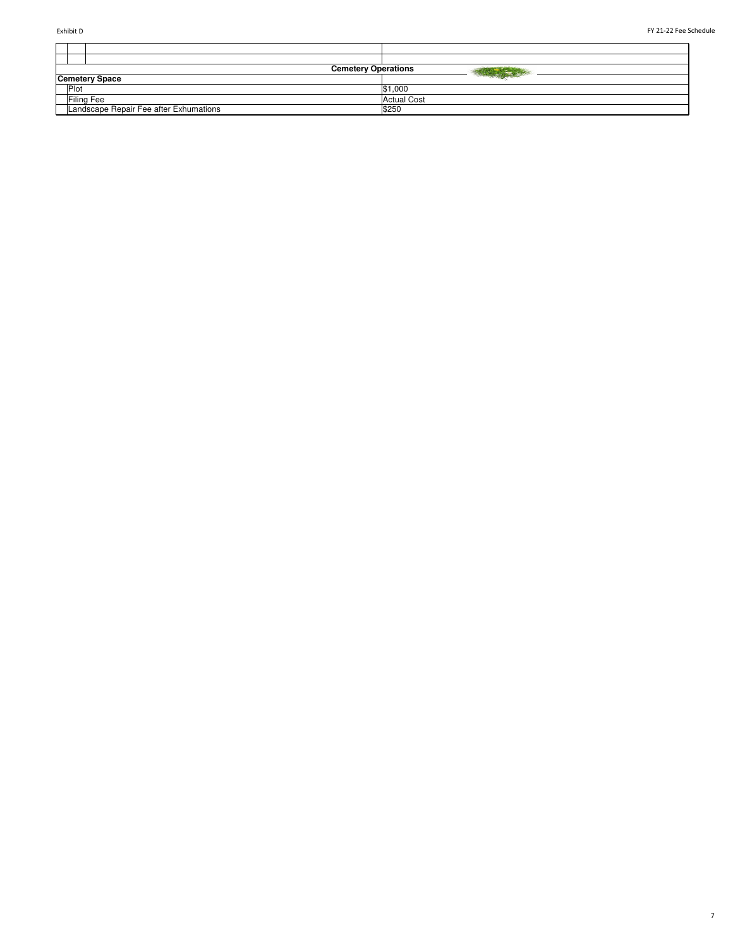T

 $\blacksquare$ 

7

|                  |                                        | <b>Cemetery Operations</b> |                    |  |
|------------------|----------------------------------------|----------------------------|--------------------|--|
|                  | <b>Cemetery Space</b>                  |                            |                    |  |
| $P_{\text{lot}}$ |                                        |                            | \$1,000            |  |
|                  | <b>Filing Fee</b>                      |                            | <b>Actual Cost</b> |  |
|                  | Landscape Repair Fee after Exhumations | \$250                      |                    |  |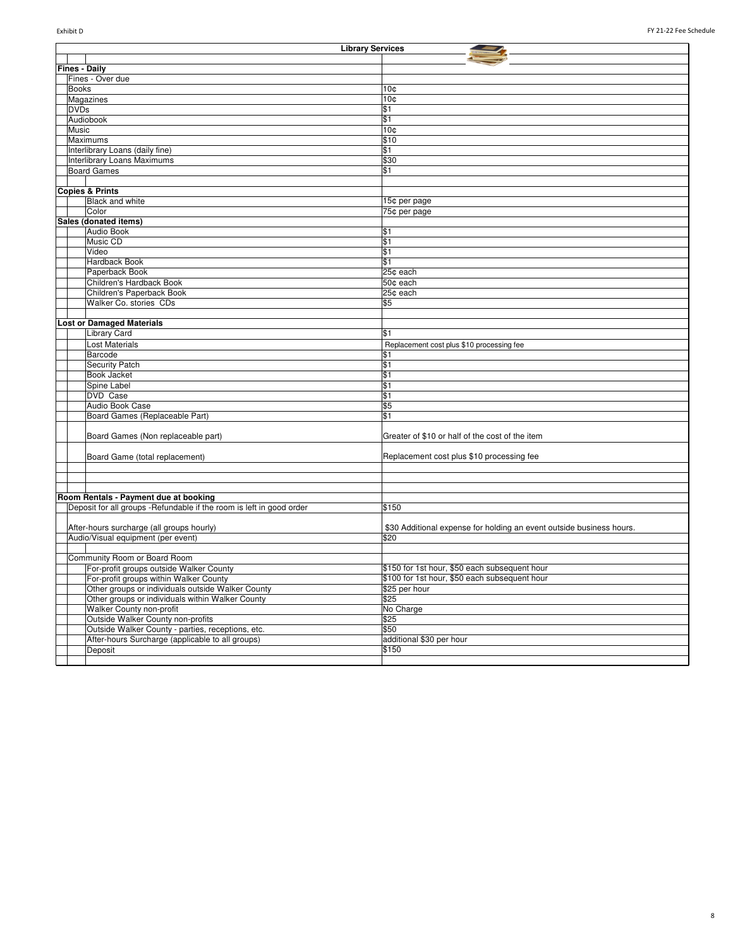| <b>Library Services</b>                                              |                                                                      |  |
|----------------------------------------------------------------------|----------------------------------------------------------------------|--|
|                                                                      |                                                                      |  |
| <b>Fines - Daily</b>                                                 |                                                                      |  |
| Fines - Over due                                                     |                                                                      |  |
| <b>Books</b>                                                         | 10 <sub>c</sub>                                                      |  |
| Magazines                                                            | 10 <sub>c</sub>                                                      |  |
| <b>DVDs</b>                                                          | \$1                                                                  |  |
| Audiobook                                                            | \$1                                                                  |  |
| Music                                                                | 10 <sub>0</sub>                                                      |  |
| Maximums                                                             | \$10                                                                 |  |
| Interlibrary Loans (daily fine)                                      | \$1                                                                  |  |
| Interlibrary Loans Maximums                                          | \$30                                                                 |  |
| <b>Board Games</b>                                                   | \$1                                                                  |  |
|                                                                      |                                                                      |  |
| <b>Copies &amp; Prints</b>                                           |                                                                      |  |
| <b>Black and white</b>                                               | 15¢ per page                                                         |  |
| Color                                                                | 75¢ per page                                                         |  |
| Sales (donated items)                                                |                                                                      |  |
| Audio Book                                                           | \$1                                                                  |  |
| Music CD                                                             | \$1                                                                  |  |
| Video                                                                | \$1                                                                  |  |
| Hardback Book                                                        | \$1                                                                  |  |
| Paperback Book                                                       | 25¢ each                                                             |  |
| Children's Hardback Book                                             | 50¢ each                                                             |  |
| Children's Paperback Book                                            | 25¢ each                                                             |  |
| Walker Co. stories CDs                                               | \$5                                                                  |  |
|                                                                      |                                                                      |  |
| <b>Lost or Damaged Materials</b>                                     |                                                                      |  |
| <b>Library Card</b>                                                  | \$1                                                                  |  |
| <b>Lost Materials</b>                                                | Replacement cost plus \$10 processing fee                            |  |
| Barcode                                                              | \$1                                                                  |  |
| <b>Security Patch</b>                                                | \$1                                                                  |  |
| <b>Book Jacket</b>                                                   | \$1                                                                  |  |
| Spine Label                                                          | \$1                                                                  |  |
| <b>DVD</b> Case                                                      | \$1                                                                  |  |
| Audio Book Case                                                      | \$5                                                                  |  |
| Board Games (Replaceable Part)                                       | \$1                                                                  |  |
|                                                                      |                                                                      |  |
| Board Games (Non replaceable part)                                   | Greater of \$10 or half of the cost of the item                      |  |
| Board Game (total replacement)                                       | Replacement cost plus \$10 processing fee                            |  |
|                                                                      |                                                                      |  |
|                                                                      |                                                                      |  |
|                                                                      |                                                                      |  |
| Room Rentals - Payment due at booking                                |                                                                      |  |
| Deposit for all groups -Refundable if the room is left in good order | \$150                                                                |  |
|                                                                      |                                                                      |  |
| After-hours surcharge (all groups hourly)                            | \$30 Additional expense for holding an event outside business hours. |  |
| Audio/Visual equipment (per event)                                   | \$20                                                                 |  |
|                                                                      |                                                                      |  |
| Community Room or Board Room                                         |                                                                      |  |
| For-profit groups outside Walker County                              | \$150 for 1st hour, \$50 each subsequent hour                        |  |
| For-profit groups within Walker County                               | \$100 for 1st hour, \$50 each subsequent hour                        |  |
| Other groups or individuals outside Walker County                    | \$25 per hour                                                        |  |
| Other groups or individuals within Walker County                     | \$25                                                                 |  |
| Walker County non-profit                                             | No Charge                                                            |  |
| Outside Walker County non-profits                                    | \$25                                                                 |  |
| Outside Walker County - parties, receptions, etc.                    | \$50                                                                 |  |
| After-hours Surcharge (applicable to all groups)                     | additional \$30 per hour                                             |  |
| Deposit                                                              | \$150                                                                |  |
|                                                                      |                                                                      |  |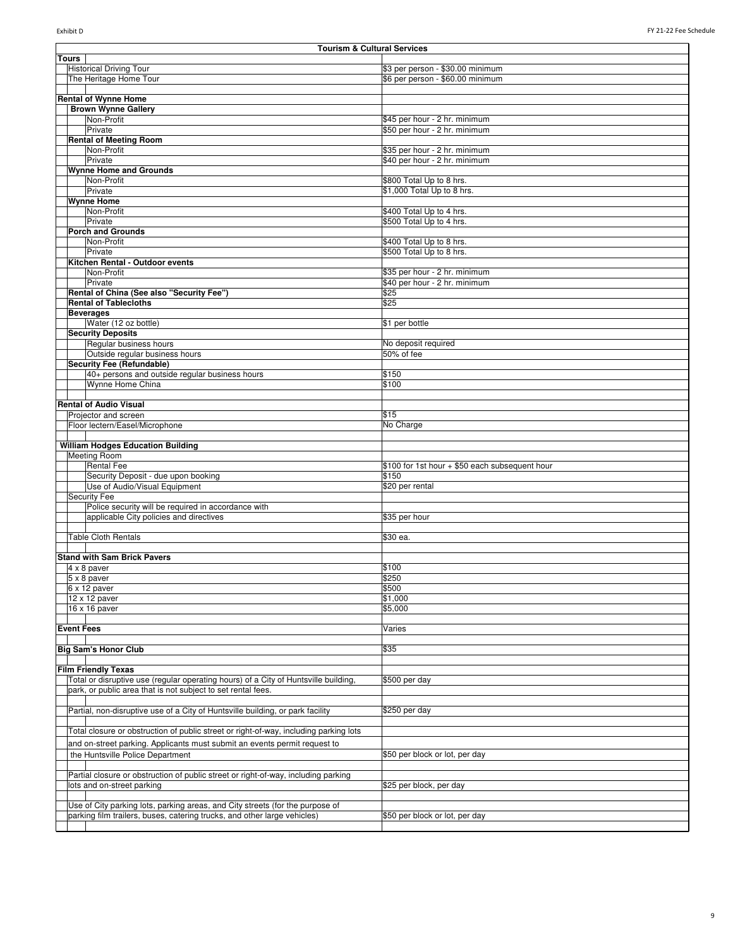| <b>Tourism &amp; Cultural Services</b>                                                |                                                |  |
|---------------------------------------------------------------------------------------|------------------------------------------------|--|
| Tours                                                                                 |                                                |  |
| <b>Historical Driving Tour</b>                                                        | \$3 per person - \$30.00 minimum               |  |
| The Heritage Home Tour                                                                | \$6 per person - \$60.00 minimum               |  |
|                                                                                       |                                                |  |
| <b>Rental of Wynne Home</b>                                                           |                                                |  |
| <b>Brown Wynne Gallery</b>                                                            |                                                |  |
| Non-Profit                                                                            | \$45 per hour - 2 hr. minimum                  |  |
| Private                                                                               | \$50 per hour - 2 hr. minimum                  |  |
| <b>Rental of Meeting Room</b>                                                         |                                                |  |
| Non-Profit                                                                            | \$35 per hour - 2 hr. minimum                  |  |
| Private                                                                               | \$40 per hour - 2 hr. minimum                  |  |
| <b>Wynne Home and Grounds</b>                                                         |                                                |  |
| Non-Profit                                                                            | \$800 Total Up to 8 hrs.                       |  |
| Private                                                                               | \$1,000 Total Up to 8 hrs.                     |  |
| <b>Wynne Home</b>                                                                     |                                                |  |
| Non-Profit                                                                            | \$400 Total Up to 4 hrs.                       |  |
| Private                                                                               | \$500 Total Up to 4 hrs.                       |  |
| <b>Porch and Grounds</b>                                                              |                                                |  |
| Non-Profit                                                                            | \$400 Total Up to 8 hrs.                       |  |
| Private                                                                               | \$500 Total Up to 8 hrs.                       |  |
| Kitchen Rental - Outdoor events                                                       |                                                |  |
| Non-Profit                                                                            | \$35 per hour - 2 hr. minimum                  |  |
| Private                                                                               | \$40 per hour - 2 hr. minimum                  |  |
| Rental of China (See also "Security Fee")                                             | \$25                                           |  |
| <b>Rental of Tablecloths</b>                                                          | \$25                                           |  |
| <b>Beverages</b>                                                                      |                                                |  |
| Water (12 oz bottle)                                                                  | \$1 per bottle                                 |  |
| <b>Security Deposits</b>                                                              |                                                |  |
| Regular business hours                                                                | No deposit required                            |  |
| Outside regular business hours                                                        | 50% of fee                                     |  |
| <b>Security Fee (Refundable)</b>                                                      |                                                |  |
| 40+ persons and outside regular business hours                                        | \$150                                          |  |
| Wynne Home China                                                                      | \$100                                          |  |
|                                                                                       |                                                |  |
| <b>Rental of Audio Visual</b>                                                         |                                                |  |
|                                                                                       |                                                |  |
| Projector and screen                                                                  | \$15                                           |  |
| Floor lectern/Easel/Microphone                                                        | No Charge                                      |  |
|                                                                                       |                                                |  |
| <b>William Hodges Education Building</b>                                              |                                                |  |
| <b>Meeting Room</b>                                                                   |                                                |  |
| <b>Rental Fee</b>                                                                     | \$100 for 1st hour + \$50 each subsequent hour |  |
| Security Deposit - due upon booking                                                   | \$150                                          |  |
| Use of Audio/Visual Equipment                                                         | \$20 per rental                                |  |
| <b>Security Fee</b>                                                                   |                                                |  |
| Police security will be required in accordance with                                   |                                                |  |
| applicable City policies and directives                                               | \$35 per hour                                  |  |
|                                                                                       |                                                |  |
| <b>Table Cloth Rentals</b>                                                            | \$30 ea.                                       |  |
|                                                                                       |                                                |  |
| <b>Stand with Sam Brick Pavers</b>                                                    |                                                |  |
| $4 \times 8$ paver                                                                    | \$100                                          |  |
| 5 x 8 paver                                                                           | \$250                                          |  |
| $6 \times 12$ paver                                                                   | \$500                                          |  |
| $12 \times 12$ paver                                                                  | \$1,000                                        |  |
| 16 x 16 paver                                                                         | \$5,000                                        |  |
|                                                                                       |                                                |  |
| <b>Event Fees</b>                                                                     | Varies                                         |  |
|                                                                                       |                                                |  |
| <b>Big Sam's Honor Club</b>                                                           | \$35                                           |  |
|                                                                                       |                                                |  |
| <b>Film Friendly Texas</b>                                                            |                                                |  |
| Total or disruptive use (regular operating hours) of a City of Huntsville building,   | \$500 per day                                  |  |
| park, or public area that is not subject to set rental fees.                          |                                                |  |
|                                                                                       |                                                |  |
| Partial, non-disruptive use of a City of Huntsville building, or park facility        | \$250 per day                                  |  |
|                                                                                       |                                                |  |
| Total closure or obstruction of public street or right-of-way, including parking lots |                                                |  |
|                                                                                       |                                                |  |
| and on-street parking. Applicants must submit an events permit request to             |                                                |  |
| the Huntsville Police Department                                                      | \$50 per block or lot, per day                 |  |
|                                                                                       |                                                |  |
| Partial closure or obstruction of public street or right-of-way, including parking    |                                                |  |
| lots and on-street parking                                                            | \$25 per block, per day                        |  |
|                                                                                       |                                                |  |
| Use of City parking lots, parking areas, and City streets (for the purpose of         |                                                |  |
| parking film trailers, buses, catering trucks, and other large vehicles)              | \$50 per block or lot, per day                 |  |
|                                                                                       |                                                |  |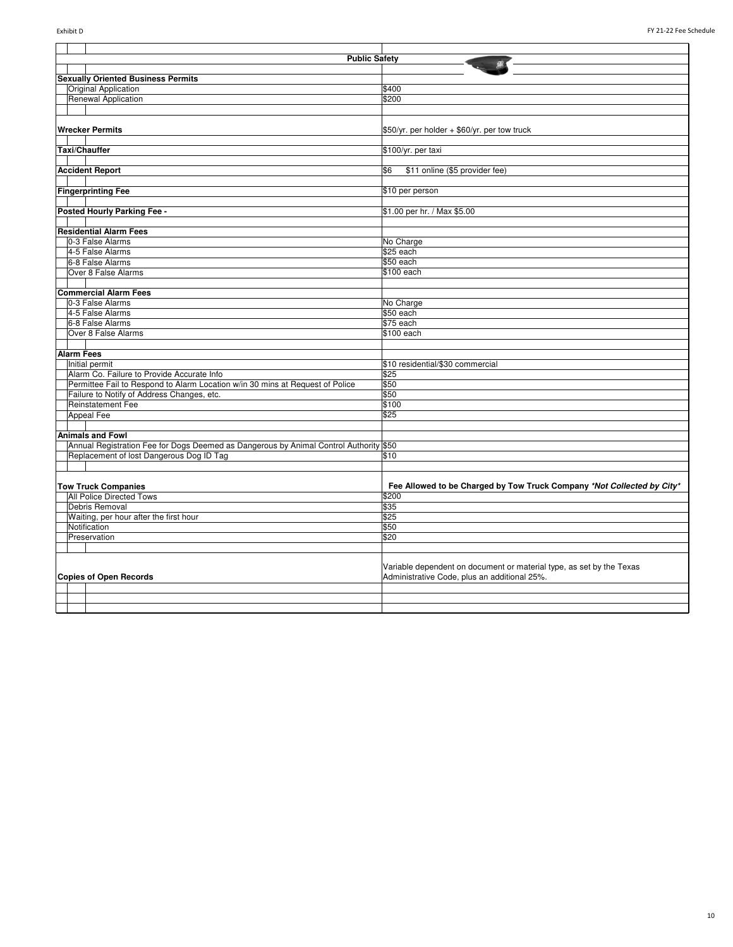| <b>Public Safety</b>                                                                  |                                                                        |
|---------------------------------------------------------------------------------------|------------------------------------------------------------------------|
|                                                                                       |                                                                        |
| <b>Sexually Oriented Business Permits</b>                                             |                                                                        |
| Original Application                                                                  | \$400                                                                  |
| Renewal Application                                                                   | \$200                                                                  |
|                                                                                       |                                                                        |
| <b>Wrecker Permits</b>                                                                | \$50/yr. per holder + \$60/yr. per tow truck                           |
|                                                                                       |                                                                        |
| Taxi/Chauffer                                                                         | \$100/yr. per taxi                                                     |
|                                                                                       |                                                                        |
| <b>Accident Report</b>                                                                | \$6<br>\$11 online (\$5 provider fee)                                  |
|                                                                                       |                                                                        |
| <b>Fingerprinting Fee</b>                                                             | \$10 per person                                                        |
|                                                                                       |                                                                        |
| Posted Hourly Parking Fee -                                                           | \$1.00 per hr. / Max \$5.00                                            |
|                                                                                       |                                                                        |
| <b>Residential Alarm Fees</b>                                                         |                                                                        |
| 0-3 False Alarms                                                                      | No Charge                                                              |
| 4-5 False Alarms                                                                      | \$25 each                                                              |
| 6-8 False Alarms                                                                      | \$50 each                                                              |
| Over 8 False Alarms                                                                   | \$100 each                                                             |
|                                                                                       |                                                                        |
| <b>Commercial Alarm Fees</b>                                                          |                                                                        |
| 0-3 False Alarms                                                                      | No Charge                                                              |
| 4-5 False Alarms                                                                      | \$50 each                                                              |
| 6-8 False Alarms                                                                      | \$75 each                                                              |
| Over 8 False Alarms                                                                   | \$100 each                                                             |
|                                                                                       |                                                                        |
| <b>Alarm Fees</b>                                                                     |                                                                        |
| Initial permit                                                                        | \$10 residential/\$30 commercial                                       |
| Alarm Co. Failure to Provide Accurate Info                                            | \$25                                                                   |
| Permittee Fail to Respond to Alarm Location w/in 30 mins at Request of Police         | \$50                                                                   |
| Failure to Notify of Address Changes, etc.                                            | \$50                                                                   |
| <b>Reinstatement Fee</b>                                                              | \$100                                                                  |
| <b>Appeal Fee</b>                                                                     | \$25                                                                   |
|                                                                                       |                                                                        |
| <b>Animals and Fowl</b>                                                               |                                                                        |
| Annual Registration Fee for Dogs Deemed as Dangerous by Animal Control Authority \$50 |                                                                        |
| Replacement of lost Dangerous Dog ID Tag                                              | \$10                                                                   |
|                                                                                       |                                                                        |
|                                                                                       |                                                                        |
| <b>Tow Truck Companies</b>                                                            | Fee Allowed to be Charged by Tow Truck Company *Not Collected by City* |
| <b>All Police Directed Tows</b>                                                       | \$200                                                                  |
| Debris Removal                                                                        | \$35                                                                   |
| Waiting, per hour after the first hour                                                | \$25                                                                   |
| Notification                                                                          | \$50                                                                   |
| Preservation                                                                          | \$20                                                                   |
|                                                                                       |                                                                        |
|                                                                                       | Variable dependent on document or material type, as set by the Texas   |
| <b>Copies of Open Records</b>                                                         | Administrative Code, plus an additional 25%.                           |
|                                                                                       |                                                                        |
|                                                                                       |                                                                        |
|                                                                                       |                                                                        |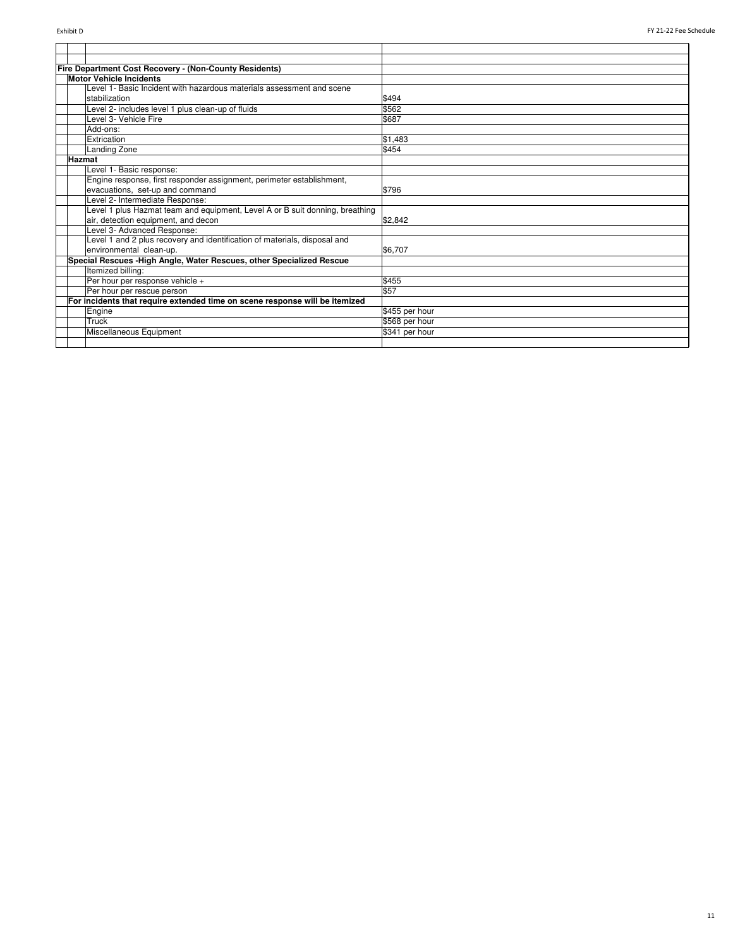|        | <b>Fire Department Cost Recovery - (Non-County Residents)</b>                |                |
|--------|------------------------------------------------------------------------------|----------------|
|        | <b>Motor Vehicle Incidents</b>                                               |                |
|        | Level 1- Basic Incident with hazardous materials assessment and scene        |                |
|        | stabilization                                                                | \$494          |
|        | Level 2- includes level 1 plus clean-up of fluids                            | \$562          |
|        | Level 3- Vehicle Fire                                                        | \$687          |
|        | Add-ons:                                                                     |                |
|        | Extrication                                                                  | \$1,483        |
|        | <b>Landing Zone</b>                                                          | \$454          |
| Hazmat |                                                                              |                |
|        | Level 1- Basic response:                                                     |                |
|        | Engine response, first responder assignment, perimeter establishment,        |                |
|        | evacuations, set-up and command                                              | \$796          |
|        | Level 2- Intermediate Response:                                              |                |
|        | Level 1 plus Hazmat team and equipment, Level A or B suit donning, breathing |                |
|        | air, detection equipment, and decon                                          | \$2.842        |
|        | Level 3- Advanced Response:                                                  |                |
|        | Level 1 and 2 plus recovery and identification of materials, disposal and    |                |
|        | environmental clean-up.                                                      | \$6.707        |
|        | Special Rescues - High Angle, Water Rescues, other Specialized Rescue        |                |
|        | Itemized billing:                                                            |                |
|        | Per hour per response vehicle +                                              | \$455          |
|        | Per hour per rescue person                                                   | \$57           |
|        | For incidents that require extended time on scene response will be itemized  |                |
|        | Engine                                                                       | \$455 per hour |
|        | Truck                                                                        | \$568 per hour |
|        | Miscellaneous Equipment                                                      | \$341 per hour |
|        |                                                                              |                |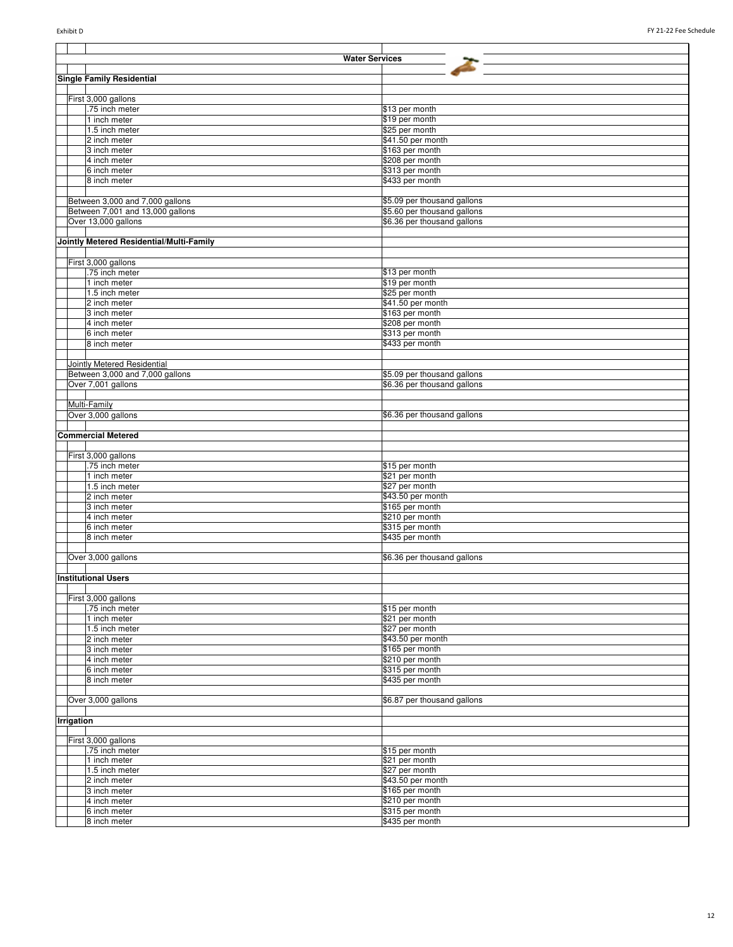|            | <b>Water Services</b>                    |                                      |
|------------|------------------------------------------|--------------------------------------|
|            |                                          |                                      |
|            | Single Family Residential                |                                      |
|            |                                          |                                      |
|            | First 3,000 gallons                      |                                      |
|            | .75 inch meter                           | \$13 per month                       |
|            | 1 inch meter                             | \$19 per month                       |
|            | 1.5 inch meter                           | \$25 per month                       |
|            | 2 inch meter                             | \$41.50 per month<br>\$163 per month |
|            | 3 inch meter                             |                                      |
|            | 4 inch meter<br>6 inch meter             | \$208 per month<br>\$313 per month   |
|            | 8 inch meter                             | \$433 per month                      |
|            |                                          |                                      |
|            | Between 3,000 and 7,000 gallons          | \$5.09 per thousand gallons          |
|            | Between 7,001 and 13,000 gallons         | \$5.60 per thousand gallons          |
|            | Over 13,000 gallons                      | \$6.36 per thousand gallons          |
|            |                                          |                                      |
|            | Jointly Metered Residential/Multi-Family |                                      |
|            |                                          |                                      |
|            | First 3,000 gallons                      |                                      |
|            | .75 inch meter                           | \$13 per month                       |
|            | 1 inch meter                             | \$19 per month                       |
|            | 1.5 inch meter                           | \$25 per month                       |
|            | 2 inch meter                             | \$41.50 per month                    |
|            | 3 inch meter                             | \$163 per month                      |
|            | 4 inch meter                             | \$208 per month                      |
|            | 6 inch meter                             | \$313 per month                      |
|            | 8 inch meter                             | \$433 per month                      |
|            |                                          |                                      |
|            | Jointly Metered Residential              |                                      |
|            | Between 3,000 and 7,000 gallons          | \$5.09 per thousand gallons          |
|            | Over 7,001 gallons                       | \$6.36 per thousand gallons          |
|            |                                          |                                      |
|            | Multi-Family                             |                                      |
|            | Over 3,000 gallons                       | \$6.36 per thousand gallons          |
|            | <b>Commercial Metered</b>                |                                      |
|            |                                          |                                      |
|            | First 3,000 gallons                      |                                      |
|            | .75 inch meter                           | \$15 per month                       |
|            | 1 inch meter                             | \$21 per month                       |
|            | 1.5 inch meter                           | \$27 per month                       |
|            | 2 inch meter                             | \$43.50 per month                    |
|            | 3 inch meter                             | \$165 per month                      |
|            | 4 inch meter                             | \$210 per month                      |
|            | 6 inch meter                             | \$315 per month                      |
|            | 8 inch meter                             | \$435 per month                      |
|            |                                          |                                      |
|            | Over 3,000 gallons                       | \$6.36 per thousand gallons          |
|            |                                          |                                      |
|            | <b>Institutional Users</b>               |                                      |
|            |                                          |                                      |
|            | First 3,000 gallons                      |                                      |
|            | .75 inch meter                           | \$15 per month                       |
|            | 1 inch meter                             | \$21 per month                       |
|            | 1.5 inch meter<br>2 inch meter           | \$27 per month<br>\$43.50 per month  |
|            | 3 inch meter                             | \$165 per month                      |
|            | 4 inch meter                             | \$210 per month                      |
|            | 6 inch meter                             | \$315 per month                      |
|            | 8 inch meter                             | \$435 per month                      |
|            |                                          |                                      |
|            | Over 3,000 gallons                       | \$6.87 per thousand gallons          |
|            |                                          |                                      |
| Irrigation |                                          |                                      |
|            |                                          |                                      |
|            | First 3,000 gallons                      |                                      |
|            | .75 inch meter                           | \$15 per month                       |
|            | 1 inch meter                             | \$21 per month                       |
|            | 1.5 inch meter                           | \$27 per month                       |
|            | 2 inch meter                             | \$43.50 per month                    |
|            | 3 inch meter                             | \$165 per month                      |
|            | 4 inch meter                             | \$210 per month                      |
|            | 6 inch meter<br>8 inch meter             | \$315 per month<br>\$435 per month   |
|            |                                          |                                      |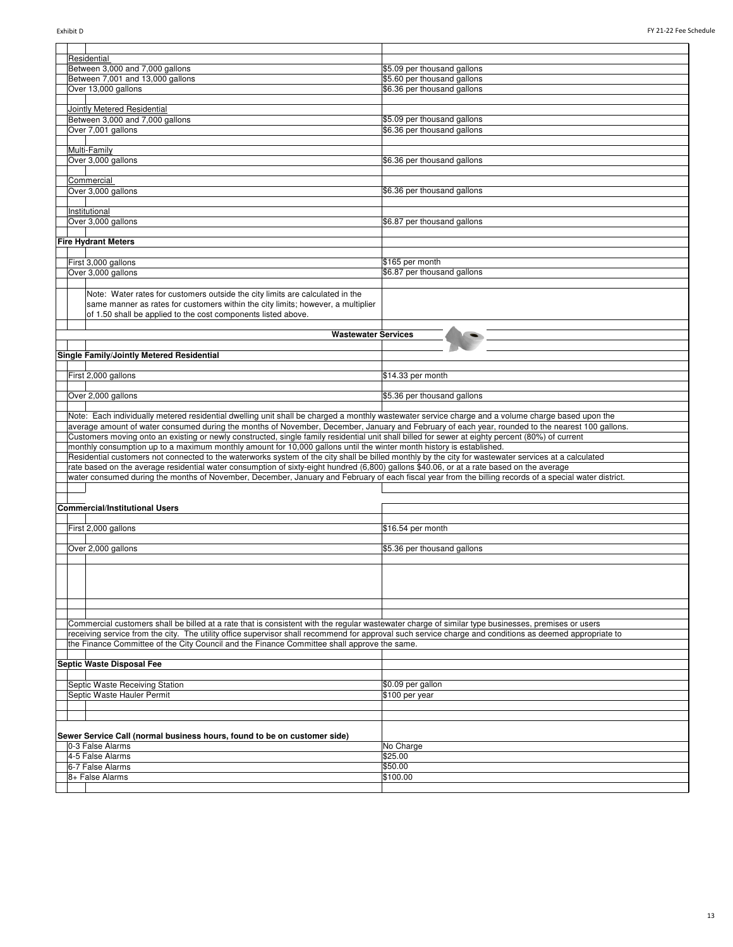| Residential                                                                                                                                             |                             |
|---------------------------------------------------------------------------------------------------------------------------------------------------------|-----------------------------|
| Between 3,000 and 7,000 gallons                                                                                                                         | \$5.09 per thousand gallons |
| Between 7,001 and 13,000 gallons                                                                                                                        | \$5.60 per thousand gallons |
| Over 13,000 gallons                                                                                                                                     | \$6.36 per thousand gallons |
|                                                                                                                                                         |                             |
| Jointly Metered Residential                                                                                                                             |                             |
| Between 3,000 and 7,000 gallons                                                                                                                         | \$5.09 per thousand gallons |
| Over 7,001 gallons                                                                                                                                      | \$6.36 per thousand gallons |
|                                                                                                                                                         |                             |
| Multi-Family                                                                                                                                            |                             |
| Over 3,000 gallons                                                                                                                                      | \$6.36 per thousand gallons |
|                                                                                                                                                         |                             |
| Commercial                                                                                                                                              |                             |
|                                                                                                                                                         |                             |
| Over 3,000 gallons                                                                                                                                      | \$6.36 per thousand gallons |
|                                                                                                                                                         |                             |
| Institutional                                                                                                                                           |                             |
| Over 3,000 gallons                                                                                                                                      | \$6.87 per thousand gallons |
|                                                                                                                                                         |                             |
| <b>Fire Hydrant Meters</b>                                                                                                                              |                             |
|                                                                                                                                                         |                             |
| First 3,000 gallons                                                                                                                                     | \$165 per month             |
| Over 3,000 gallons                                                                                                                                      | \$6.87 per thousand gallons |
|                                                                                                                                                         |                             |
| Note: Water rates for customers outside the city limits are calculated in the                                                                           |                             |
| same manner as rates for customers within the city limits; however, a multiplier                                                                        |                             |
| of 1.50 shall be applied to the cost components listed above.                                                                                           |                             |
|                                                                                                                                                         |                             |
|                                                                                                                                                         |                             |
| <b>Wastewater Services</b>                                                                                                                              |                             |
| Single Family/Jointly Metered Residential                                                                                                               |                             |
|                                                                                                                                                         |                             |
|                                                                                                                                                         |                             |
| First 2,000 gallons                                                                                                                                     | \$14.33 per month           |
|                                                                                                                                                         |                             |
| Over 2,000 gallons                                                                                                                                      | \$5.36 per thousand gallons |
|                                                                                                                                                         |                             |
|                                                                                                                                                         |                             |
| Note: Each individually metered residential dwelling unit shall be charged a monthly wastewater service charge and a volume charge based upon the       |                             |
| average amount of water consumed during the months of November, December, January and February of each year, rounded to the nearest 100 gallons.        |                             |
| Customers moving onto an existing or newly constructed, single family residential unit shall billed for sewer at eighty percent (80%) of current        |                             |
| monthly consumption up to a maximum monthly amount for 10,000 gallons until the winter month history is established.                                    |                             |
| Residential customers not connected to the waterworks system of the city shall be billed monthly by the city for wastewater services at a calculated    |                             |
| rate based on the average residential water consumption of sixty-eight hundred (6,800) gallons \$40.06, or at a rate based on the average               |                             |
| water consumed during the months of November, December, January and February of each fiscal year from the billing records of a special water district.  |                             |
|                                                                                                                                                         |                             |
|                                                                                                                                                         |                             |
| <b>Commercial/Institutional Users</b>                                                                                                                   |                             |
|                                                                                                                                                         |                             |
| First 2,000 gallons                                                                                                                                     | \$16.54 per month           |
|                                                                                                                                                         |                             |
|                                                                                                                                                         | \$5.36 per thousand gallons |
| Over 2,000 gallons                                                                                                                                      |                             |
|                                                                                                                                                         |                             |
|                                                                                                                                                         |                             |
|                                                                                                                                                         |                             |
|                                                                                                                                                         |                             |
|                                                                                                                                                         |                             |
|                                                                                                                                                         |                             |
| Commercial customers shall be billed at a rate that is consistent with the regular wastewater charge of similar type businesses, premises or users      |                             |
| receiving service from the city. The utility office supervisor shall recommend for approval such service charge and conditions as deemed appropriate to |                             |
| the Finance Committee of the City Council and the Finance Committee shall approve the same.                                                             |                             |
|                                                                                                                                                         |                             |
| <b>Septic Waste Disposal Fee</b>                                                                                                                        |                             |
|                                                                                                                                                         |                             |
| Septic Waste Receiving Station                                                                                                                          | \$0.09 per gallon           |
| Septic Waste Hauler Permit                                                                                                                              | \$100 per year              |
|                                                                                                                                                         |                             |
|                                                                                                                                                         |                             |
|                                                                                                                                                         |                             |
| Sewer Service Call (normal business hours, found to be on customer side)                                                                                |                             |
| 0-3 False Alarms                                                                                                                                        |                             |
| 4-5 False Alarms                                                                                                                                        | No Charge                   |
|                                                                                                                                                         | \$25.00                     |
| 6-7 False Alarms                                                                                                                                        | \$50.00                     |
| 8+ False Alarms                                                                                                                                         | \$100.00                    |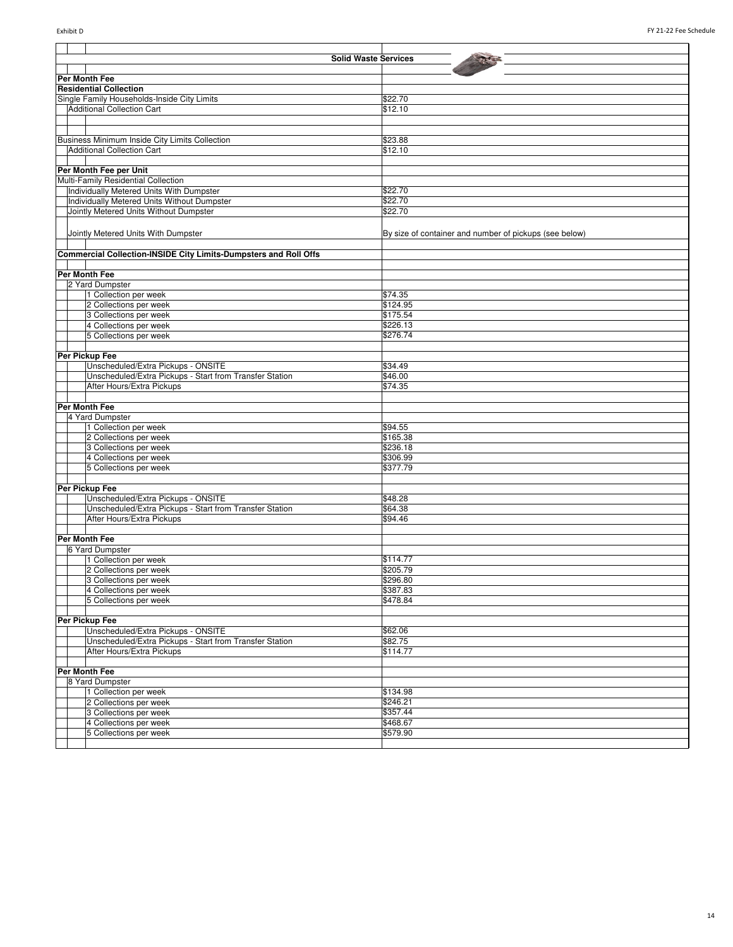|  | <b>Solid Waste Services</b>                                             |                                                        |
|--|-------------------------------------------------------------------------|--------------------------------------------------------|
|  |                                                                         |                                                        |
|  | <b>Per Month Fee</b>                                                    |                                                        |
|  | <b>Residential Collection</b>                                           |                                                        |
|  | Single Family Households-Inside City Limits                             | \$22.70                                                |
|  | <b>Additional Collection Cart</b>                                       | \$12.10                                                |
|  |                                                                         |                                                        |
|  |                                                                         |                                                        |
|  | Business Minimum Inside City Limits Collection                          | \$23.88                                                |
|  | <b>Additional Collection Cart</b>                                       | \$12.10                                                |
|  |                                                                         |                                                        |
|  | Per Month Fee per Unit                                                  |                                                        |
|  | Multi-Family Residential Collection                                     |                                                        |
|  | Individually Metered Units With Dumpster                                | \$22.70                                                |
|  | Individually Metered Units Without Dumpster                             | \$22.70                                                |
|  | Jointly Metered Units Without Dumpster                                  | \$22.70                                                |
|  |                                                                         |                                                        |
|  |                                                                         |                                                        |
|  | Jointly Metered Units With Dumpster                                     | By size of container and number of pickups (see below) |
|  |                                                                         |                                                        |
|  | <b>Commercial Collection-INSIDE City Limits-Dumpsters and Roll Offs</b> |                                                        |
|  |                                                                         |                                                        |
|  | Per Month Fee                                                           |                                                        |
|  | 2 Yard Dumpster                                                         |                                                        |
|  | 1 Collection per week                                                   | \$74.35                                                |
|  | 2 Collections per week                                                  | \$124.95                                               |
|  | 3 Collections per week                                                  | \$175.54                                               |
|  | 4 Collections per week                                                  | \$226.13                                               |
|  | 5 Collections per week                                                  | \$276.74                                               |
|  |                                                                         |                                                        |
|  | Per Pickup Fee                                                          |                                                        |
|  | Unscheduled/Extra Pickups - ONSITE                                      | \$34.49                                                |
|  | Unscheduled/Extra Pickups - Start from Transfer Station                 | \$46.00                                                |
|  | After Hours/Extra Pickups                                               | \$74.35                                                |
|  |                                                                         |                                                        |
|  | Per Month Fee                                                           |                                                        |
|  | 4 Yard Dumpster                                                         |                                                        |
|  | 1 Collection per week                                                   | \$94.55                                                |
|  | 2 Collections per week                                                  | \$165.38                                               |
|  | 3 Collections per week                                                  | \$236.18                                               |
|  | 4 Collections per week                                                  | \$306.99                                               |
|  | 5 Collections per week                                                  | \$377.79                                               |
|  |                                                                         |                                                        |
|  | Per Pickup Fee                                                          |                                                        |
|  | Unscheduled/Extra Pickups - ONSITE                                      | \$48.28                                                |
|  | Unscheduled/Extra Pickups - Start from Transfer Station                 | \$64.38                                                |
|  | After Hours/Extra Pickups                                               | \$94.46                                                |
|  |                                                                         |                                                        |
|  | <b>Per Month Fee</b>                                                    |                                                        |
|  | 6 Yard Dumpster                                                         |                                                        |
|  | 1 Collection per week                                                   | \$114.77                                               |
|  | 2 Collections per week                                                  | \$205.79                                               |
|  | 3 Collections per week                                                  | \$296.80                                               |
|  | 4 Collections per week                                                  | \$387.83                                               |
|  | 5 Collections per week                                                  | \$478.84                                               |
|  |                                                                         |                                                        |
|  | Per Pickup Fee                                                          |                                                        |
|  | Unscheduled/Extra Pickups - ONSITE                                      | \$62.06                                                |
|  | Unscheduled/Extra Pickups - Start from Transfer Station                 | \$82.75                                                |
|  | After Hours/Extra Pickups                                               | \$114.77                                               |
|  |                                                                         |                                                        |
|  | Per Month Fee                                                           |                                                        |
|  | 8 Yard Dumpster                                                         |                                                        |
|  | 1 Collection per week                                                   | \$134.98                                               |
|  | 2 Collections per week                                                  | \$246.21                                               |
|  | 3 Collections per week                                                  | \$357.44                                               |
|  | 4 Collections per week                                                  | \$468.67                                               |
|  | 5 Collections per week                                                  | \$579.90                                               |
|  |                                                                         |                                                        |
|  |                                                                         |                                                        |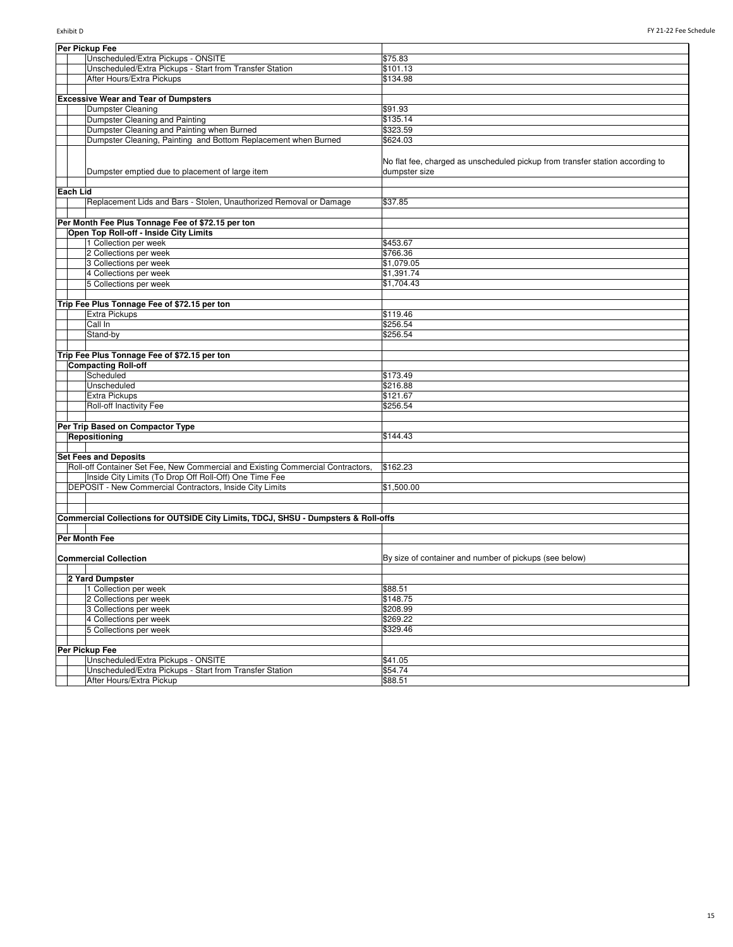|          | Per Pickup Fee                                                                     |                                                                                                |
|----------|------------------------------------------------------------------------------------|------------------------------------------------------------------------------------------------|
|          | Unscheduled/Extra Pickups - ONSITE                                                 | \$75.83                                                                                        |
|          | Unscheduled/Extra Pickups - Start from Transfer Station                            | \$101.13                                                                                       |
|          | After Hours/Extra Pickups                                                          | \$134.98                                                                                       |
|          |                                                                                    |                                                                                                |
|          | <b>Excessive Wear and Tear of Dumpsters</b>                                        |                                                                                                |
|          | Dumpster Cleaning                                                                  | \$91.93                                                                                        |
|          | Dumpster Cleaning and Painting                                                     | \$135.14                                                                                       |
|          | Dumpster Cleaning and Painting when Burned                                         | \$323.59                                                                                       |
|          | Dumpster Cleaning, Painting and Bottom Replacement when Burned                     | \$624.03                                                                                       |
|          | Dumpster emptied due to placement of large item                                    | No flat fee, charged as unscheduled pickup from transfer station according to<br>dumpster size |
| Each Lid |                                                                                    |                                                                                                |
|          | Replacement Lids and Bars - Stolen, Unauthorized Removal or Damage                 | \$37.85                                                                                        |
|          |                                                                                    |                                                                                                |
|          | Per Month Fee Plus Tonnage Fee of \$72.15 per ton                                  |                                                                                                |
|          | Open Top Roll-off - Inside City Limits                                             |                                                                                                |
|          | 1 Collection per week                                                              | \$453.67                                                                                       |
|          | 2 Collections per week                                                             | \$766.36                                                                                       |
|          | 3 Collections per week                                                             | \$1,079.05                                                                                     |
|          | 4 Collections per week                                                             | \$1,391.74                                                                                     |
|          | 5 Collections per week                                                             | \$1,704.43                                                                                     |
|          |                                                                                    |                                                                                                |
|          | Trip Fee Plus Tonnage Fee of \$72.15 per ton                                       |                                                                                                |
|          | Extra Pickups                                                                      | \$119.46                                                                                       |
|          | Call In                                                                            | \$256.54                                                                                       |
|          | Stand-by                                                                           | \$256.54                                                                                       |
|          |                                                                                    |                                                                                                |
|          | Trip Fee Plus Tonnage Fee of \$72.15 per ton                                       |                                                                                                |
|          | <b>Compacting Roll-off</b>                                                         |                                                                                                |
|          | Scheduled                                                                          | \$173.49                                                                                       |
|          | Unscheduled                                                                        | \$216.88                                                                                       |
|          | <b>Extra Pickups</b>                                                               | \$121.67                                                                                       |
|          | Roll-off Inactivity Fee                                                            | \$256.54                                                                                       |
|          |                                                                                    |                                                                                                |
|          | Per Trip Based on Compactor Type                                                   |                                                                                                |
|          | Repositioning                                                                      | \$144.43                                                                                       |
|          |                                                                                    |                                                                                                |
|          | <b>Set Fees and Deposits</b>                                                       |                                                                                                |
|          | Roll-off Container Set Fee, New Commercial and Existing Commercial Contractors,    | \$162.23                                                                                       |
|          | Inside City Limits (To Drop Off Roll-Off) One Time Fee                             |                                                                                                |
|          | DEPOSIT - New Commercial Contractors, Inside City Limits                           | \$1,500.00                                                                                     |
|          |                                                                                    |                                                                                                |
|          |                                                                                    |                                                                                                |
|          | Commercial Collections for OUTSIDE City Limits, TDCJ, SHSU - Dumpsters & Roll-offs |                                                                                                |
|          |                                                                                    |                                                                                                |
|          | Per Month Fee                                                                      |                                                                                                |
|          |                                                                                    |                                                                                                |
|          | <b>Commercial Collection</b>                                                       | By size of container and number of pickups (see below)                                         |
|          |                                                                                    |                                                                                                |
|          | 2 Yard Dumpster                                                                    |                                                                                                |
|          | 1 Collection per week                                                              | \$88.51                                                                                        |
|          | 2 Collections per week                                                             | \$148.75                                                                                       |
|          | 3 Collections per week                                                             | \$208.99                                                                                       |
|          | 4 Collections per week                                                             | \$269.22                                                                                       |
|          | 5 Collections per week                                                             | \$329.46                                                                                       |
|          |                                                                                    |                                                                                                |
|          | Per Pickup Fee                                                                     |                                                                                                |
|          | Unscheduled/Extra Pickups - ONSITE                                                 | \$41.05                                                                                        |
|          | Unscheduled/Extra Pickups - Start from Transfer Station                            | \$54.74                                                                                        |
|          | After Hours/Extra Pickup                                                           | \$88.51                                                                                        |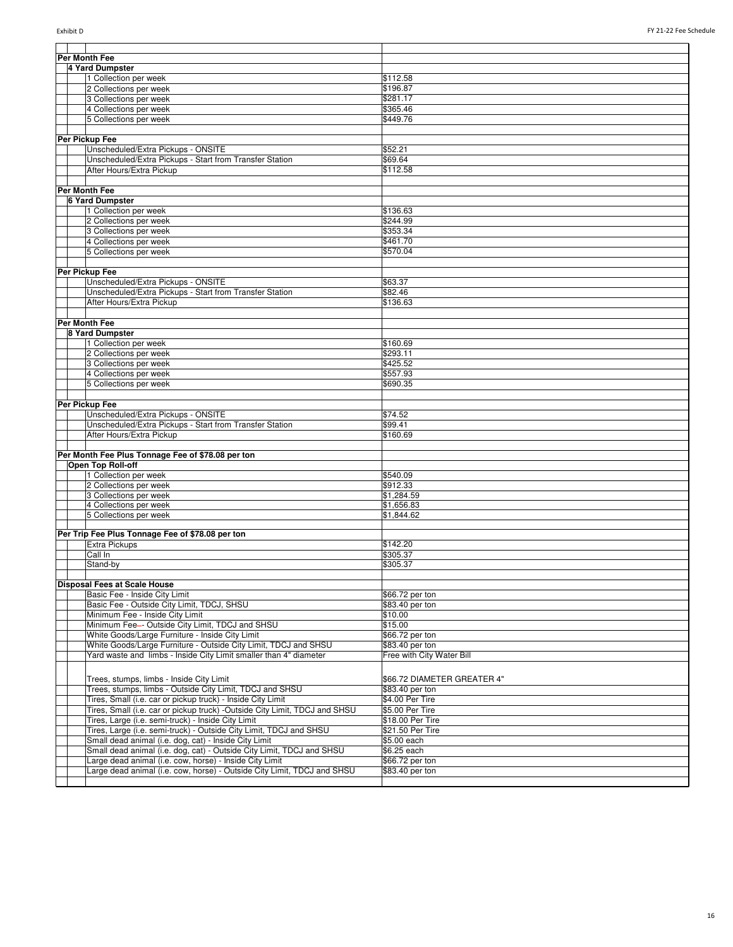| Per Month Fee                                                              |                             |  |  |
|----------------------------------------------------------------------------|-----------------------------|--|--|
|                                                                            |                             |  |  |
| 4 Yard Dumpster                                                            |                             |  |  |
| 1 Collection per week                                                      | \$112.58                    |  |  |
| 2 Collections per week                                                     | \$196.87                    |  |  |
| 3 Collections per week                                                     | \$281.17                    |  |  |
| 4 Collections per week                                                     | \$365.46                    |  |  |
| 5 Collections per week                                                     | \$449.76                    |  |  |
|                                                                            |                             |  |  |
| Per Pickup Fee                                                             |                             |  |  |
| Unscheduled/Extra Pickups - ONSITE                                         | \$52.21                     |  |  |
| Unscheduled/Extra Pickups - Start from Transfer Station                    | \$69.64                     |  |  |
| After Hours/Extra Pickup                                                   | \$112.58                    |  |  |
|                                                                            |                             |  |  |
| Per Month Fee                                                              |                             |  |  |
| <b>6 Yard Dumpster</b>                                                     |                             |  |  |
| 1 Collection per week                                                      | \$136.63                    |  |  |
| 2 Collections per week                                                     | \$244.99                    |  |  |
| 3 Collections per week                                                     | \$353.34                    |  |  |
| 4 Collections per week                                                     | \$461.70                    |  |  |
| 5 Collections per week                                                     | \$570.04                    |  |  |
|                                                                            |                             |  |  |
| Per Pickup Fee                                                             |                             |  |  |
| Unscheduled/Extra Pickups - ONSITE                                         | \$63.37                     |  |  |
| Unscheduled/Extra Pickups - Start from Transfer Station                    | \$82.46                     |  |  |
| After Hours/Extra Pickup                                                   | \$136.63                    |  |  |
|                                                                            |                             |  |  |
| Per Month Fee                                                              |                             |  |  |
| 8 Yard Dumpster                                                            |                             |  |  |
| 1 Collection per week                                                      | \$160.69                    |  |  |
| 2 Collections per week                                                     | \$293.11                    |  |  |
| 3 Collections per week                                                     | \$425.52                    |  |  |
| 4 Collections per week                                                     | \$557.93                    |  |  |
| 5 Collections per week                                                     | \$690.35                    |  |  |
|                                                                            |                             |  |  |
| Per Pickup Fee                                                             |                             |  |  |
| Unscheduled/Extra Pickups - ONSITE                                         | \$74.52                     |  |  |
| Unscheduled/Extra Pickups - Start from Transfer Station                    | \$99.41                     |  |  |
| After Hours/Extra Pickup                                                   | \$160.69                    |  |  |
|                                                                            |                             |  |  |
| Per Month Fee Plus Tonnage Fee of \$78.08 per ton<br>Open Top Roll-off     |                             |  |  |
| 1 Collection per week                                                      | \$540.09                    |  |  |
| 2 Collections per week                                                     | \$912.33                    |  |  |
| 3 Collections per week                                                     | \$1,284.59                  |  |  |
| 4 Collections per week                                                     | \$1,656.83                  |  |  |
| 5 Collections per week                                                     | \$1,844.62                  |  |  |
|                                                                            |                             |  |  |
| Per Trip Fee Plus Tonnage Fee of \$78.08 per ton                           |                             |  |  |
| <b>Extra Pickups</b>                                                       | \$142.20                    |  |  |
| Call In                                                                    | \$305.37                    |  |  |
| Stand-by                                                                   | \$305.37                    |  |  |
|                                                                            |                             |  |  |
| <b>Disposal Fees at Scale House</b>                                        |                             |  |  |
| Basic Fee - Inside City Limit                                              | \$66.72 per ton             |  |  |
| Basic Fee - Outside City Limit, TDCJ, SHSU                                 | \$83.40 per ton             |  |  |
| Minimum Fee - Inside City Limit                                            | \$10.00                     |  |  |
| Minimum Fee-Outside City Limit, TDCJ and SHSU                              | \$15.00                     |  |  |
| White Goods/Large Furniture - Inside City Limit                            | \$66.72 per ton             |  |  |
| White Goods/Large Furniture - Outside City Limit, TDCJ and SHSU            | \$83.40 per ton             |  |  |
| Yard waste and limbs - Inside City Limit smaller than 4" diameter          | Free with City Water Bill   |  |  |
|                                                                            |                             |  |  |
| Trees, stumps, limbs - Inside City Limit                                   | \$66.72 DIAMETER GREATER 4" |  |  |
| Trees, stumps, limbs - Outside City Limit, TDCJ and SHSU                   | \$83.40 per ton             |  |  |
| Tires, Small (i.e. car or pickup truck) - Inside City Limit                | \$4.00 Per Tire             |  |  |
| Tires, Small (i.e. car or pickup truck) -Outside City Limit, TDCJ and SHSU | \$5.00 Per Tire             |  |  |
| Tires, Large (i.e. semi-truck) - Inside City Limit                         | \$18.00 Per Tire            |  |  |
| Tires, Large (i.e. semi-truck) - Outside City Limit, TDCJ and SHSU         | \$21.50 Per Tire            |  |  |
| Small dead animal (i.e. dog, cat) - Inside City Limit                      | \$5.00 each                 |  |  |
| Small dead animal (i.e. dog, cat) - Outside City Limit, TDCJ and SHSU      | \$6.25 each                 |  |  |
| Large dead animal (i.e. cow, horse) - Inside City Limit                    | \$66.72 per ton             |  |  |
| Large dead animal (i.e. cow, horse) - Outside City Limit, TDCJ and SHSU    | \$83.40 per ton             |  |  |
|                                                                            |                             |  |  |
|                                                                            |                             |  |  |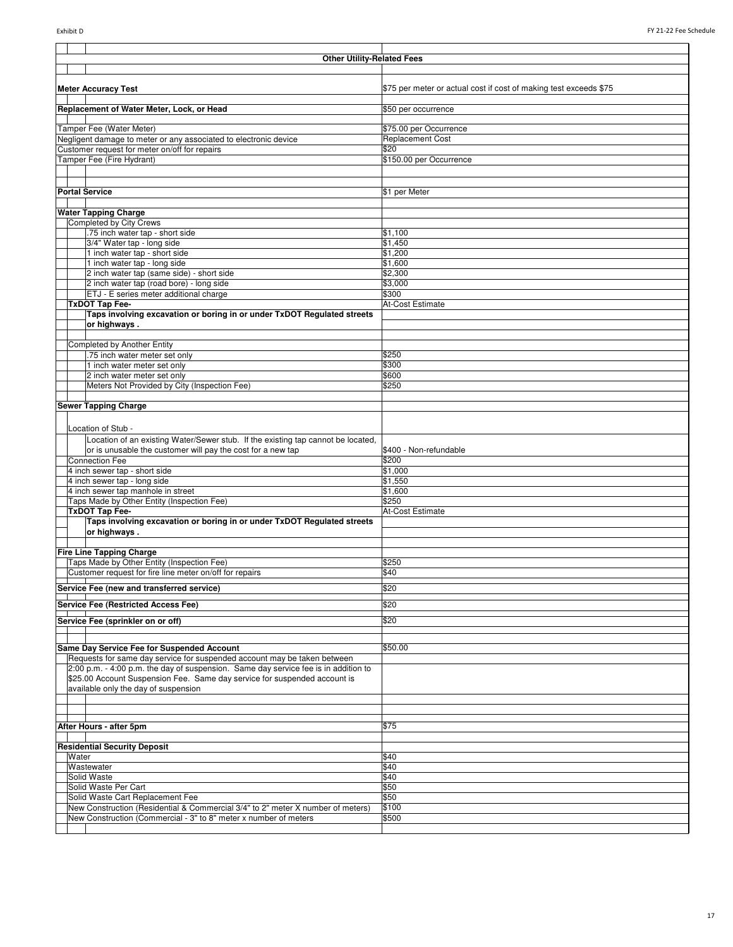| <b>Other Utility-Related Fees</b>                                                                                      |                                                                   |
|------------------------------------------------------------------------------------------------------------------------|-------------------------------------------------------------------|
|                                                                                                                        |                                                                   |
|                                                                                                                        |                                                                   |
| <b>Meter Accuracy Test</b>                                                                                             | \$75 per meter or actual cost if cost of making test exceeds \$75 |
| Replacement of Water Meter, Lock, or Head                                                                              | \$50 per occurrence                                               |
|                                                                                                                        |                                                                   |
| Tamper Fee (Water Meter)                                                                                               | \$75.00 per Occurrence                                            |
| Negligent damage to meter or any associated to electronic device<br>Customer request for meter on/off for repairs      | <b>Replacement Cost</b><br>\$20                                   |
| Tamper Fee (Fire Hydrant)                                                                                              | \$150.00 per Occurrence                                           |
|                                                                                                                        |                                                                   |
|                                                                                                                        |                                                                   |
| <b>Portal Service</b>                                                                                                  | \$1 per Meter                                                     |
| <b>Water Tapping Charge</b>                                                                                            |                                                                   |
| Completed by City Crews                                                                                                |                                                                   |
| .75 inch water tap - short side                                                                                        | \$1,100                                                           |
| 3/4" Water tap - long side                                                                                             | \$1,450                                                           |
| 1 inch water tap - short side<br>1 inch water tap - long side                                                          | \$1,200<br>\$1,600                                                |
| 2 inch water tap (same side) - short side                                                                              | \$2,300                                                           |
| 2 inch water tap (road bore) - long side                                                                               | \$3,000                                                           |
| ETJ - E series meter additional charge                                                                                 | \$300                                                             |
| <b>TxDOT Tap Fee-</b><br>Taps involving excavation or boring in or under TxDOT Regulated streets                       | At-Cost Estimate                                                  |
| or highways.                                                                                                           |                                                                   |
|                                                                                                                        |                                                                   |
| <b>Completed by Another Entity</b>                                                                                     |                                                                   |
| .75 inch water meter set only<br>1 inch water meter set only                                                           | \$250<br>\$300                                                    |
| 2 inch water meter set only                                                                                            | \$600                                                             |
| Meters Not Provided by City (Inspection Fee)                                                                           | \$250                                                             |
|                                                                                                                        |                                                                   |
| <b>Sewer Tapping Charge</b>                                                                                            |                                                                   |
| Location of Stub -                                                                                                     |                                                                   |
| Location of an existing Water/Sewer stub. If the existing tap cannot be located,                                       |                                                                   |
| or is unusable the customer will pay the cost for a new tap                                                            | \$400 - Non-refundable                                            |
| <b>Connection Fee</b>                                                                                                  | \$200                                                             |
| 4 inch sewer tap - short side                                                                                          | \$1,000                                                           |
| 4 inch sewer tap - long side<br>4 inch sewer tap manhole in street                                                     | \$1,550<br>\$1,600                                                |
| Taps Made by Other Entity (Inspection Fee)                                                                             | \$250                                                             |
| <b>TxDOT Tap Fee-</b>                                                                                                  | At-Cost Estimate                                                  |
| Taps involving excavation or boring in or under TxDOT Regulated streets                                                |                                                                   |
| or highways.                                                                                                           |                                                                   |
| <b>Fire Line Tapping Charge</b>                                                                                        |                                                                   |
| Taps Made by Other Entity (Inspection Fee)                                                                             | \$250                                                             |
| Customer request for fire line meter on/off for repairs                                                                | \$40                                                              |
| Service Fee (new and transferred service)                                                                              | \$20                                                              |
| Service Fee (Restricted Access Fee)                                                                                    | \$20                                                              |
|                                                                                                                        |                                                                   |
| Service Fee (sprinkler on or off)                                                                                      | \$20                                                              |
|                                                                                                                        |                                                                   |
| Same Day Service Fee for Suspended Account<br>Requests for same day service for suspended account may be taken between | \$50.00                                                           |
| 2:00 p.m. - 4:00 p.m. the day of suspension. Same day service fee is in addition to                                    |                                                                   |
| \$25.00 Account Suspension Fee. Same day service for suspended account is                                              |                                                                   |
| available only the day of suspension                                                                                   |                                                                   |
|                                                                                                                        |                                                                   |
|                                                                                                                        |                                                                   |
| After Hours - after 5pm                                                                                                | \$75                                                              |
| <b>Residential Security Deposit</b>                                                                                    |                                                                   |
| Water                                                                                                                  | \$40                                                              |
| Wastewater                                                                                                             | \$40                                                              |
| Solid Waste                                                                                                            | \$40                                                              |
| Solid Waste Per Cart<br>Solid Waste Cart Replacement Fee                                                               | \$50<br>\$50                                                      |
| New Construction (Residential & Commercial 3/4" to 2" meter X number of meters)                                        | \$100                                                             |
| New Construction (Commercial - 3" to 8" meter x number of meters                                                       | \$500                                                             |
|                                                                                                                        |                                                                   |